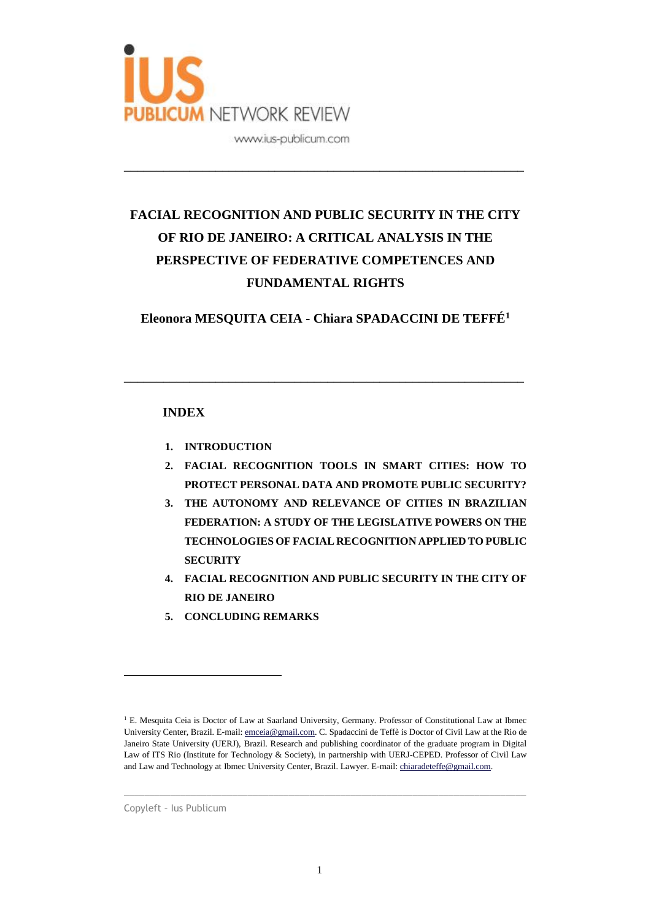

# **FACIAL RECOGNITION AND PUBLIC SECURITY IN THE CITY OF RIO DE JANEIRO: A CRITICAL ANALYSIS IN THE PERSPECTIVE OF FEDERATIVE COMPETENCES AND FUNDAMENTAL RIGHTS**

\_\_\_\_\_\_\_\_\_\_\_\_\_\_\_\_\_\_\_\_\_\_\_\_\_\_\_\_\_\_\_\_\_\_\_\_\_\_\_\_\_\_\_\_\_\_\_\_\_\_\_\_\_\_\_\_\_\_\_\_\_

**Eleonora MESQUITA CEIA - Chiara SPADACCINI DE TEFFÉ<sup>1</sup>**

\_\_\_\_\_\_\_\_\_\_\_\_\_\_\_\_\_\_\_\_\_\_\_\_\_\_\_\_\_\_\_\_\_\_\_\_\_\_\_\_\_\_\_\_\_\_\_\_\_\_\_\_\_\_\_\_\_\_\_\_\_

### **INDEX**

- **1. INTRODUCTION**
- **2. FACIAL RECOGNITION TOOLS IN SMART CITIES: HOW TO PROTECT PERSONAL DATA AND PROMOTE PUBLIC SECURITY?**
- **3. THE AUTONOMY AND RELEVANCE OF CITIES IN BRAZILIAN FEDERATION: A STUDY OF THE LEGISLATIVE POWERS ON THE TECHNOLOGIES OF FACIAL RECOGNITION APPLIED TO PUBLIC SECURITY**
- **4. FACIAL RECOGNITION AND PUBLIC SECURITY IN THE CITY OF RIO DE JANEIRO**
- **5. CONCLUDING REMARKS**

 $\_$  , and the set of the set of the set of the set of the set of the set of the set of the set of the set of the set of the set of the set of the set of the set of the set of the set of the set of the set of the set of th

<sup>&</sup>lt;sup>1</sup> E. Mesquita Ceia is Doctor of Law at Saarland University, Germany. Professor of Constitutional Law at Ibmec University Center, Brazil. E-mail[: emceia@gmail.com.](mailto:emceia@gmail.com) C. Spadaccini de Teffè is Doctor of Civil Law at the Rio de Janeiro State University (UERJ), Brazil. Research and publishing coordinator of the graduate program in Digital Law of ITS Rio (Institute for Technology & Society), in partnership with UERJ-CEPED. Professor of Civil Law and Law and Technology at Ibmec University Center, Brazil. Lawyer. E-mail: [chiaradeteffe@gmail.com.](mailto:chiaradeteffe@gmail.com)

Copyleft – Ius Publicum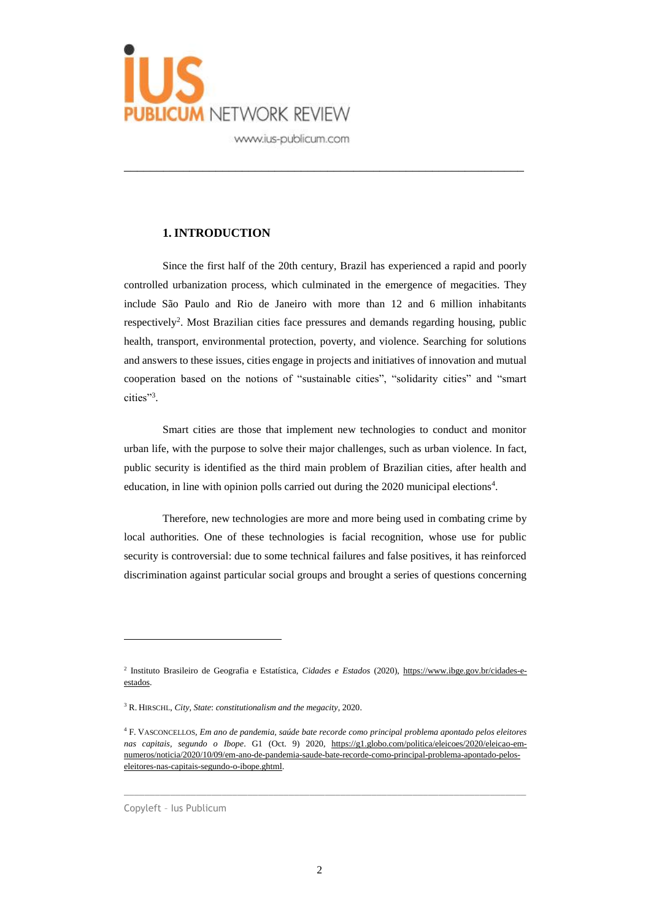

#### **1. INTRODUCTION**

Since the first half of the 20th century, Brazil has experienced a rapid and poorly controlled urbanization process, which culminated in the emergence of megacities. They include São Paulo and Rio de Janeiro with more than 12 and 6 million inhabitants respectively<sup>2</sup>. Most Brazilian cities face pressures and demands regarding housing, public health, transport, environmental protection, poverty, and violence. Searching for solutions and answers to these issues, cities engage in projects and initiatives of innovation and mutual cooperation based on the notions of "sustainable cities", "solidarity cities" and "smart cities"<sup>3</sup> .

\_\_\_\_\_\_\_\_\_\_\_\_\_\_\_\_\_\_\_\_\_\_\_\_\_\_\_\_\_\_\_\_\_\_\_\_\_\_\_\_\_\_\_\_\_\_\_\_\_\_\_\_\_\_\_\_\_\_\_\_\_

Smart cities are those that implement new technologies to conduct and monitor urban life, with the purpose to solve their major challenges, such as urban violence. In fact, public security is identified as the third main problem of Brazilian cities, after health and education, in line with opinion polls carried out during the 2020 municipal elections<sup>4</sup>.

Therefore, new technologies are more and more being used in combating crime by local authorities. One of these technologies is facial recognition, whose use for public security is controversial: due to some technical failures and false positives, it has reinforced discrimination against particular social groups and brought a series of questions concerning

 $\_$  , and the set of the set of the set of the set of the set of the set of the set of the set of the set of the set of the set of the set of the set of the set of the set of the set of the set of the set of the set of th

Copyleft – Ius Publicum

<sup>2</sup> Instituto Brasileiro de Geografia e Estatística, *Cidades e Estados* (2020), [https://www.ibge.gov.br/cidades-e](about:blank)[estados.](about:blank)

<sup>3</sup> R. HIRSCHL, *City, State*: *constitutionalism and the megacity*, 2020.

<sup>4</sup> F. VASCONCELLOS*, Em ano de pandemia, saúde bate recorde como principal problema apontado pelos eleitores nas capitais, segundo o Ibope*. G1 (Oct. 9) 2020, [https://g1.globo.com/politica/eleicoes/2020/eleicao-em](about:blank)[numeros/noticia/2020/10/09/em-ano-de-pandemia-saude-bate-recorde-como-principal-problema-apontado-pelos](about:blank)[eleitores-nas-capitais-segundo-o-ibope.ghtml.](about:blank)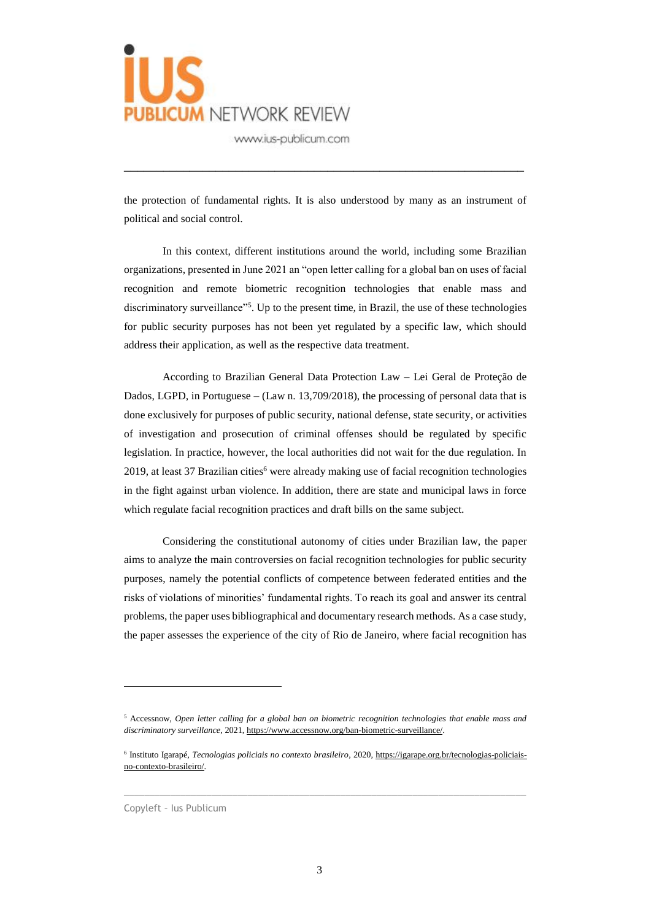

the protection of fundamental rights. It is also understood by many as an instrument of political and social control.

\_\_\_\_\_\_\_\_\_\_\_\_\_\_\_\_\_\_\_\_\_\_\_\_\_\_\_\_\_\_\_\_\_\_\_\_\_\_\_\_\_\_\_\_\_\_\_\_\_\_\_\_\_\_\_\_\_\_\_\_\_

In this context, different institutions around the world, including some Brazilian organizations, presented in June 2021 an "open letter calling for a global ban on uses of facial recognition and remote biometric recognition technologies that enable mass and discriminatory surveillance"<sup>5</sup>. Up to the present time, in Brazil, the use of these technologies for public security purposes has not been yet regulated by a specific law, which should address their application, as well as the respective data treatment.

According to Brazilian General Data Protection Law – Lei Geral de Proteção de Dados, LGPD, in Portuguese – (Law n. 13,709/2018), the processing of personal data that is done exclusively for purposes of public security, national defense, state security, or activities of investigation and prosecution of criminal offenses should be regulated by specific legislation. In practice, however, the local authorities did not wait for the due regulation. In 2019, at least 37 Brazilian cities $<sup>6</sup>$  were already making use of facial recognition technologies</sup> in the fight against urban violence. In addition, there are state and municipal laws in force which regulate facial recognition practices and draft bills on the same subject.

Considering the constitutional autonomy of cities under Brazilian law, the paper aims to analyze the main controversies on facial recognition technologies for public security purposes, namely the potential conflicts of competence between federated entities and the risks of violations of minorities' fundamental rights. To reach its goal and answer its central problems, the paper uses bibliographical and documentary research methods. As a case study, the paper assesses the experience of the city of Rio de Janeiro, where facial recognition has

 $\_$  , and the set of the set of the set of the set of the set of the set of the set of the set of the set of the set of the set of the set of the set of the set of the set of the set of the set of the set of the set of th

Copyleft – Ius Publicum

<sup>5</sup> Accessnow, *Open letter calling for a global ban on biometric recognition technologies that enable mass and discriminatory surveillance*, 2021[, https://www.accessnow.org/ban-biometric-surveillance/.](about:blank)

<sup>6</sup> Instituto Igarapé, *Tecnologias policiais no contexto brasileiro*, 2020[, https://igarape.org.br/tecnologias-policiais](about:blank)[no-contexto-brasileiro/.](about:blank)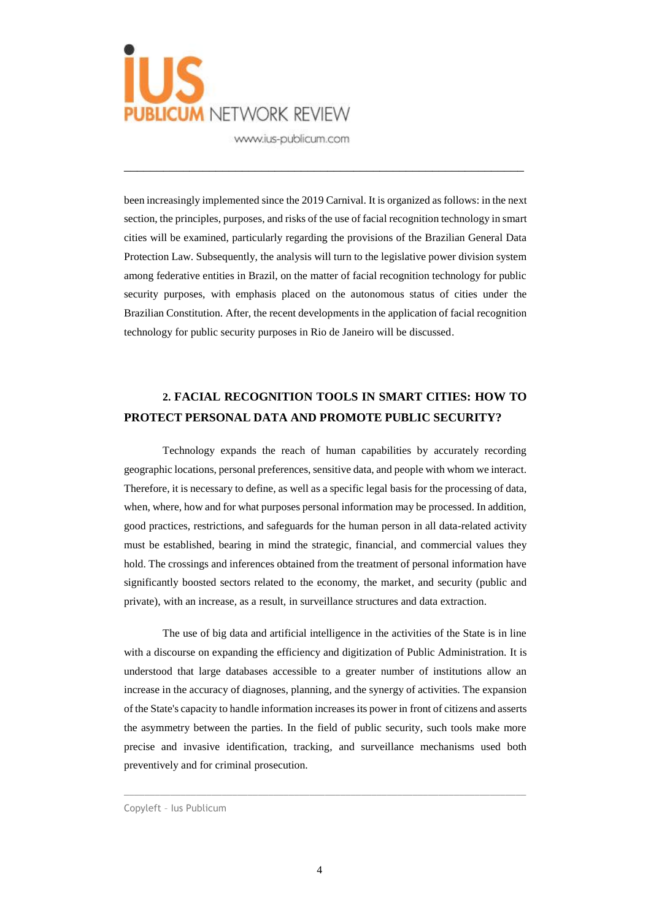

been increasingly implemented since the 2019 Carnival. It is organized as follows: in the next section, the principles, purposes, and risks of the use of facial recognition technology in smart cities will be examined, particularly regarding the provisions of the Brazilian General Data Protection Law. Subsequently, the analysis will turn to the legislative power division system among federative entities in Brazil, on the matter of facial recognition technology for public security purposes, with emphasis placed on the autonomous status of cities under the Brazilian Constitution. After, the recent developments in the application of facial recognition technology for public security purposes in Rio de Janeiro will be discussed.

\_\_\_\_\_\_\_\_\_\_\_\_\_\_\_\_\_\_\_\_\_\_\_\_\_\_\_\_\_\_\_\_\_\_\_\_\_\_\_\_\_\_\_\_\_\_\_\_\_\_\_\_\_\_\_\_\_\_\_\_\_

### **2. FACIAL RECOGNITION TOOLS IN SMART CITIES: HOW TO PROTECT PERSONAL DATA AND PROMOTE PUBLIC SECURITY?**

Technology expands the reach of human capabilities by accurately recording geographic locations, personal preferences, sensitive data, and people with whom we interact. Therefore, it is necessary to define, as well as a specific legal basis for the processing of data, when, where, how and for what purposes personal information may be processed. In addition, good practices, restrictions, and safeguards for the human person in all data-related activity must be established, bearing in mind the strategic, financial, and commercial values they hold. The crossings and inferences obtained from the treatment of personal information have significantly boosted sectors related to the economy, the market, and security (public and private), with an increase, as a result, in surveillance structures and data extraction.

The use of big data and artificial intelligence in the activities of the State is in line with a discourse on expanding the efficiency and digitization of Public Administration. It is understood that large databases accessible to a greater number of institutions allow an increase in the accuracy of diagnoses, planning, and the synergy of activities. The expansion of the State's capacity to handle information increases its power in front of citizens and asserts the asymmetry between the parties. In the field of public security, such tools make more precise and invasive identification, tracking, and surveillance mechanisms used both preventively and for criminal prosecution.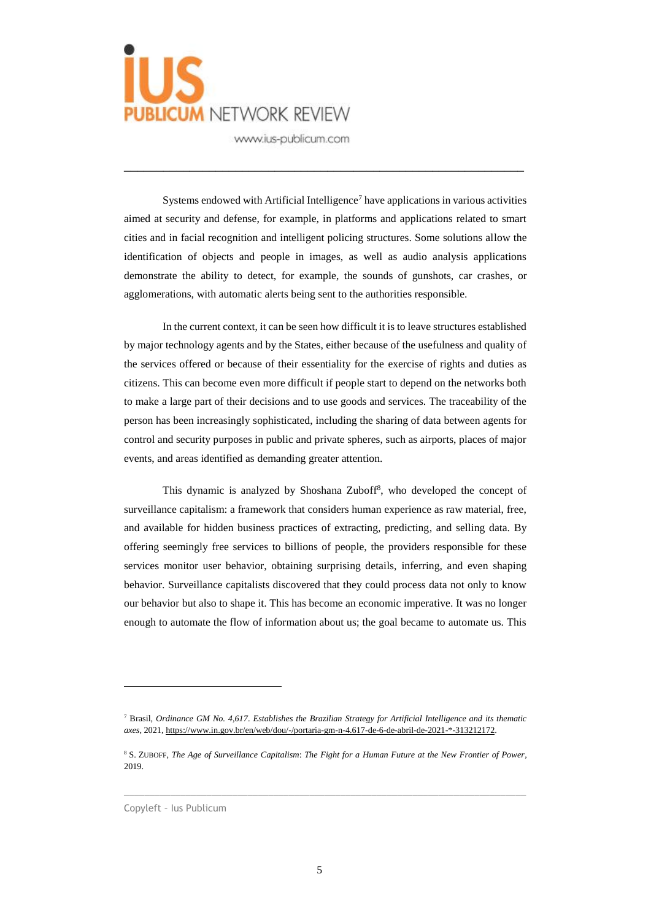

Systems endowed with Artificial Intelligence<sup>7</sup> have applications in various activities aimed at security and defense, for example, in platforms and applications related to smart cities and in facial recognition and intelligent policing structures. Some solutions allow the identification of objects and people in images, as well as audio analysis applications demonstrate the ability to detect, for example, the sounds of gunshots, car crashes, or agglomerations, with automatic alerts being sent to the authorities responsible.

\_\_\_\_\_\_\_\_\_\_\_\_\_\_\_\_\_\_\_\_\_\_\_\_\_\_\_\_\_\_\_\_\_\_\_\_\_\_\_\_\_\_\_\_\_\_\_\_\_\_\_\_\_\_\_\_\_\_\_\_\_

In the current context, it can be seen how difficult it is to leave structures established by major technology agents and by the States, either because of the usefulness and quality of the services offered or because of their essentiality for the exercise of rights and duties as citizens. This can become even more difficult if people start to depend on the networks both to make a large part of their decisions and to use goods and services. The traceability of the person has been increasingly sophisticated, including the sharing of data between agents for control and security purposes in public and private spheres, such as airports, places of major events, and areas identified as demanding greater attention.

This dynamic is analyzed by Shoshana Zuboff<sup>8</sup>, who developed the concept of surveillance capitalism: a framework that considers human experience as raw material, free, and available for hidden business practices of extracting, predicting, and selling data. By offering seemingly free services to billions of people, the providers responsible for these services monitor user behavior, obtaining surprising details, inferring, and even shaping behavior. Surveillance capitalists discovered that they could process data not only to know our behavior but also to shape it. This has become an economic imperative. It was no longer enough to automate the flow of information about us; the goal became to automate us. This

 $\_$  , and the set of the set of the set of the set of the set of the set of the set of the set of the set of the set of the set of the set of the set of the set of the set of the set of the set of the set of the set of th

Copyleft – Ius Publicum

<sup>7</sup> Brasil, *Ordinance GM No. 4,617*. *Establishes the Brazilian Strategy for Artificial Intelligence and its thematic axes*, 2021[, https://www.in.gov.br/en/web/dou/-/portaria-gm-n-4.617-de-6-de-abril-de-2021-\\*-313212172.](about:blank)

<sup>8</sup> S. ZUBOFF, *The Age of Surveillance Capitalism*: *The Fight for a Human Future at the New Frontier of Power*, 2019.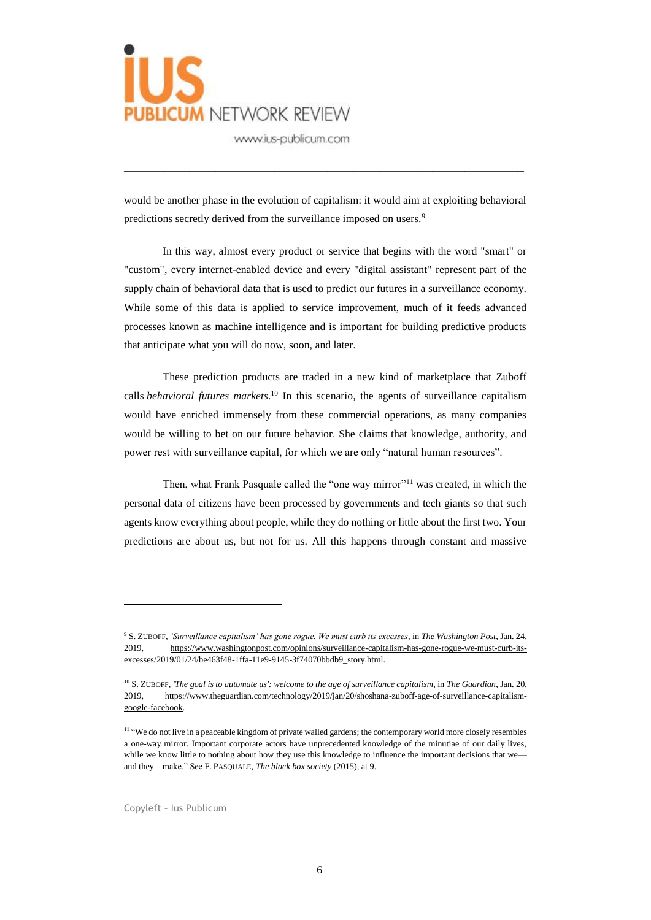

would be another phase in the evolution of capitalism: it would aim at exploiting behavioral predictions secretly derived from the surveillance imposed on users.<sup>9</sup>

\_\_\_\_\_\_\_\_\_\_\_\_\_\_\_\_\_\_\_\_\_\_\_\_\_\_\_\_\_\_\_\_\_\_\_\_\_\_\_\_\_\_\_\_\_\_\_\_\_\_\_\_\_\_\_\_\_\_\_\_\_

In this way, almost every product or service that begins with the word "smart" or "custom", every internet-enabled device and every "digital assistant" represent part of the supply chain of behavioral data that is used to predict our futures in a surveillance economy. While some of this data is applied to service improvement, much of it feeds advanced processes known as machine intelligence and is important for building predictive products that anticipate what you will do now, soon, and later.

These prediction products are traded in a new kind of marketplace that Zuboff calls *behavioral futures markets*. <sup>10</sup> In this scenario, the agents of surveillance capitalism would have enriched immensely from these commercial operations, as many companies would be willing to bet on our future behavior. She claims that knowledge, authority, and power rest with surveillance capital, for which we are only "natural human resources".

Then, what Frank Pasquale called the "one way mirror"<sup>11</sup> was created, in which the personal data of citizens have been processed by governments and tech giants so that such agents know everything about people, while they do nothing or little about the first two. Your predictions are about us, but not for us. All this happens through constant and massive

 $\_$  , and the set of the set of the set of the set of the set of the set of the set of the set of the set of the set of the set of the set of the set of the set of the set of the set of the set of the set of the set of th

<sup>9</sup> S. ZUBOFF, *'Surveillance capitalism' has gone rogue. We must curb its excesses*, in *The Washington Post*, Jan. 24, 2019, [https://www.washingtonpost.com/opinions/surveillance-capitalism-has-gone-rogue-we-must-curb-its](about:blank)[excesses/2019/01/24/be463f48-1ffa-11e9-9145-3f74070bbdb9\\_story.html.](about:blank)

<sup>10</sup> S. ZUBOFF, *'The goal is to automate us': welcome to the age of surveillance capitalism*, in *The Guardian*, Jan. 20, 2019, [https://www.theguardian.com/technology/2019/jan/20/shoshana-zuboff-age-of-surveillance-capitalism](about:blank)[google-facebook.](about:blank)

<sup>&</sup>lt;sup>11</sup> "We do not live in a peaceable kingdom of private walled gardens; the contemporary world more closely resembles a one-way mirror. Important corporate actors have unprecedented knowledge of the minutiae of our daily lives, while we know little to nothing about how they use this knowledge to influence the important decisions that we and they—make." See F. PASQUALE, *The black box society* (2015), at 9.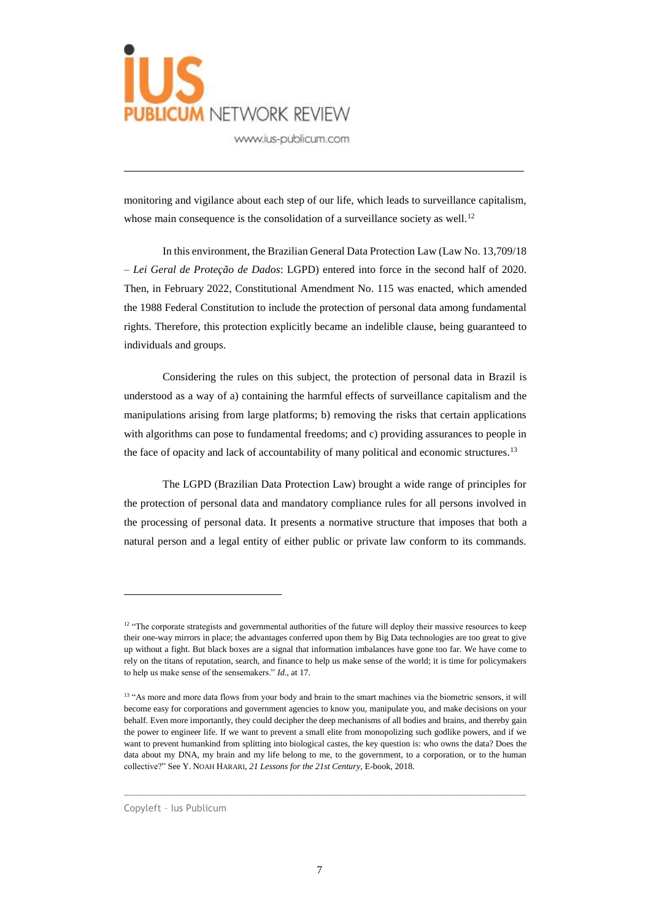

monitoring and vigilance about each step of our life, which leads to surveillance capitalism, whose main consequence is the consolidation of a surveillance society as well.<sup>12</sup>

\_\_\_\_\_\_\_\_\_\_\_\_\_\_\_\_\_\_\_\_\_\_\_\_\_\_\_\_\_\_\_\_\_\_\_\_\_\_\_\_\_\_\_\_\_\_\_\_\_\_\_\_\_\_\_\_\_\_\_\_\_

In this environment, the Brazilian General Data Protection Law (Law No. 13,709/18 – *Lei Geral de Proteção de Dados*: LGPD) entered into force in the second half of 2020. Then, in February 2022, Constitutional Amendment No. 115 was enacted, which amended the 1988 Federal Constitution to include the protection of personal data among fundamental rights. Therefore, this protection explicitly became an indelible clause, being guaranteed to individuals and groups.

Considering the rules on this subject, the protection of personal data in Brazil is understood as a way of a) containing the harmful effects of surveillance capitalism and the manipulations arising from large platforms; b) removing the risks that certain applications with algorithms can pose to fundamental freedoms; and c) providing assurances to people in the face of opacity and lack of accountability of many political and economic structures.<sup>13</sup>

The LGPD (Brazilian Data Protection Law) brought a wide range of principles for the protection of personal data and mandatory compliance rules for all persons involved in the processing of personal data. It presents a normative structure that imposes that both a natural person and a legal entity of either public or private law conform to its commands.

 $\_$  , and the set of the set of the set of the set of the set of the set of the set of the set of the set of the set of the set of the set of the set of the set of the set of the set of the set of the set of the set of th

<sup>&</sup>lt;sup>12</sup> "The corporate strategists and governmental authorities of the future will deploy their massive resources to keep their one-way mirrors in place; the advantages conferred upon them by Big Data technologies are too great to give up without a fight. But black boxes are a signal that information imbalances have gone too far. We have come to rely on the titans of reputation, search, and finance to help us make sense of the world; it is time for policymakers to help us make sense of the sensemakers." *Id*., at 17.

<sup>&</sup>lt;sup>13</sup> "As more and more data flows from your body and brain to the smart machines via the biometric sensors, it will become easy for corporations and government agencies to know you, manipulate you, and make decisions on your behalf. Even more importantly, they could decipher the deep mechanisms of all bodies and brains, and thereby gain the power to engineer life. If we want to prevent a small elite from monopolizing such godlike powers, and if we want to prevent humankind from splitting into biological castes, the key question is: who owns the data? Does the data about my DNA, my brain and my life belong to me, to the government, to a corporation, or to the human collective?" See Y. NOAH HARARI, *21 Lessons for the 21st Century*, E-book, 2018.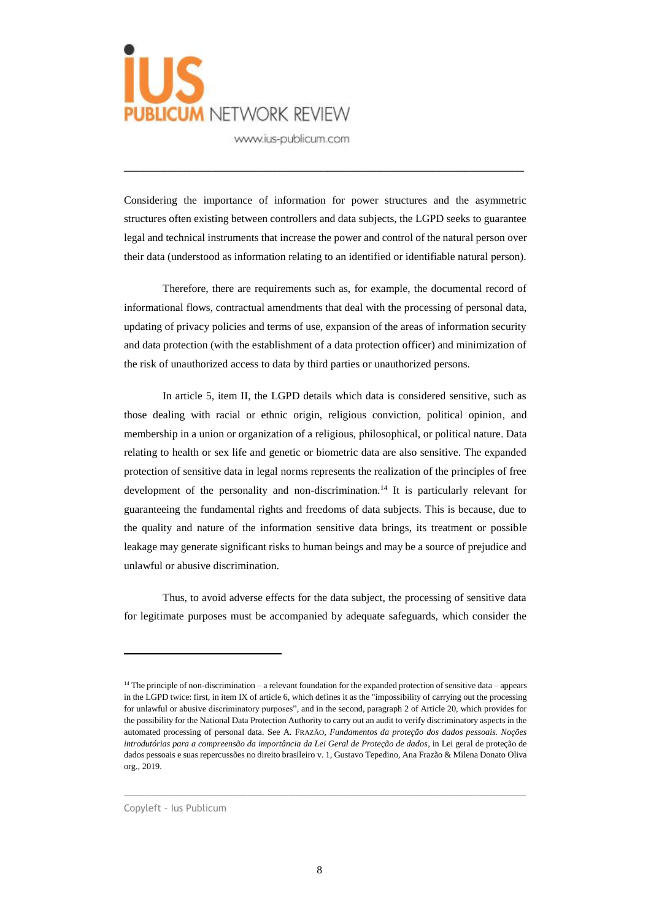

Considering the importance of information for power structures and the asymmetric structures often existing between controllers and data subjects, the LGPD seeks to guarantee legal and technical instruments that increase the power and control of the natural person over their data (understood as information relating to an identified or identifiable natural person).

\_\_\_\_\_\_\_\_\_\_\_\_\_\_\_\_\_\_\_\_\_\_\_\_\_\_\_\_\_\_\_\_\_\_\_\_\_\_\_\_\_\_\_\_\_\_\_\_\_\_\_\_\_\_\_\_\_\_\_\_\_

Therefore, there are requirements such as, for example, the documental record of informational flows, contractual amendments that deal with the processing of personal data, updating of privacy policies and terms of use, expansion of the areas of information security and data protection (with the establishment of a data protection officer) and minimization of the risk of unauthorized access to data by third parties or unauthorized persons.

In article 5, item II, the LGPD details which data is considered sensitive, such as those dealing with racial or ethnic origin, religious conviction, political opinion, and membership in a union or organization of a religious, philosophical, or political nature. Data relating to health or sex life and genetic or biometric data are also sensitive. The expanded protection of sensitive data in legal norms represents the realization of the principles of free development of the personality and non-discrimination.<sup>14</sup> It is particularly relevant for guaranteeing the fundamental rights and freedoms of data subjects. This is because, due to the quality and nature of the information sensitive data brings, its treatment or possible leakage may generate significant risks to human beings and may be a source of prejudice and unlawful or abusive discrimination.

Thus, to avoid adverse effects for the data subject, the processing of sensitive data for legitimate purposes must be accompanied by adequate safeguards, which consider the

 $\_$  , and the set of the set of the set of the set of the set of the set of the set of the set of the set of the set of the set of the set of the set of the set of the set of the set of the set of the set of the set of th

 $14$  The principle of non-discrimination – a relevant foundation for the expanded protection of sensitive data – appears in the LGPD twice: first, in item IX of article 6, which defines it as the "impossibility of carrying out the processing for unlawful or abusive discriminatory purposes", and in the second, paragraph 2 of Article 20, which provides for the possibility for the National Data Protection Authority to carry out an audit to verify discriminatory aspects in the automated processing of personal data. See A. FRAZÃO, *Fundamentos da proteção dos dados pessoais. Noções introdutórias para a compreensão da importância da Lei Geral de Proteção de dados*, in Lei geral de proteção de dados pessoais e suas repercussões no direito brasileiro v. 1, Gustavo Tepedino, Ana Frazão & Milena Donato Oliva org., 2019.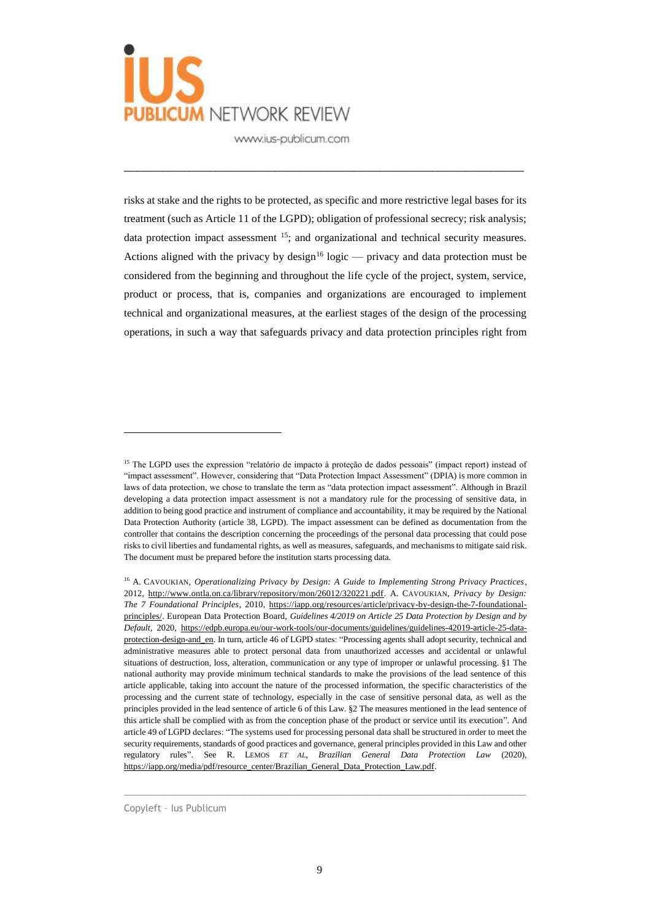

risks at stake and the rights to be protected, as specific and more restrictive legal bases for its treatment (such as Article 11 of the LGPD); obligation of professional secrecy; risk analysis; data protection impact assessment <sup>15</sup>; and organizational and technical security measures. Actions aligned with the privacy by design<sup>16</sup> logic — privacy and data protection must be considered from the beginning and throughout the life cycle of the project, system, service, product or process, that is, companies and organizations are encouraged to implement technical and organizational measures, at the earliest stages of the design of the processing operations, in such a way that safeguards privacy and data protection principles right from

\_\_\_\_\_\_\_\_\_\_\_\_\_\_\_\_\_\_\_\_\_\_\_\_\_\_\_\_\_\_\_\_\_\_\_\_\_\_\_\_\_\_\_\_\_\_\_\_\_\_\_\_\_\_\_\_\_\_\_\_\_

 $\overline{a}$ 

<sup>&</sup>lt;sup>15</sup> The LGPD uses the expression "relatório de impacto à proteção de dados pessoais" (impact report) instead of "impact assessment". However, considering that "Data Protection Impact Assessment" (DPIA) is more common in laws of data protection, we chose to translate the term as "data protection impact assessment". Although in Brazil developing a data protection impact assessment is not a mandatory rule for the processing of sensitive data, in addition to being good practice and instrument of compliance and accountability, it may be required by the National Data Protection Authority (article 38, LGPD). The impact assessment can be defined as documentation from the controller that contains the description concerning the proceedings of the personal data processing that could pose risks to civil liberties and fundamental rights, as well as measures, safeguards, and mechanisms to mitigate said risk. The document must be prepared before the institution starts processing data.

<sup>16</sup> A. CAVOUKIAN, *Operationalizing Privacy by Design: A Guide to Implementing Strong Privacy Practices*, 2012, [http://www.ontla.on.ca/library/repository/mon/26012/320221.pdf.](http://www.ontla.on.ca/library/repository/mon/26012/320221.pdf) A. CAVOUKIAN, *Privacy by Design: The 7 Foundational Principles*, 2010, [https://iapp.org/resources/article/privacy-by-design-the-7-foundational](about:blank)[principles/.](about:blank) European Data Protection Board, *Guidelines 4/2019 on Article 25 Data Protection by Design and by Default*, 2020, [https://edpb.europa.eu/our-work-tools/our-documents/guidelines/guidelines-42019-article-25-data](about:blank)[protection-design-and\\_en.](about:blank) In turn, article 46 of LGPD states: "Processing agents shall adopt security, technical and administrative measures able to protect personal data from unauthorized accesses and accidental or unlawful situations of destruction, loss, alteration, communication or any type of improper or unlawful processing. §1 The national authority may provide minimum technical standards to make the provisions of the lead sentence of this article applicable, taking into account the nature of the processed information, the specific characteristics of the processing and the current state of technology, especially in the case of sensitive personal data, as well as the principles provided in the lead sentence of article 6 of this Law. §2 The measures mentioned in the lead sentence of this article shall be complied with as from the conception phase of the product or service until its execution". And article 49 of LGPD declares: "The systems used for processing personal data shall be structured in order to meet the security requirements, standards of good practices and governance, general principles provided in this Law and other regulatory rules". See R. LEMOS *ET AL*, *Brazilian General Data Protection Law* (2020), [https://iapp.org/media/pdf/resource\\_center/Brazilian\\_General\\_Data\\_Protection\\_Law.pdf.](https://iapp.org/media/pdf/resource_center/Brazilian_General_Data_Protection_Law.pdf)

Copyleft – Ius Publicum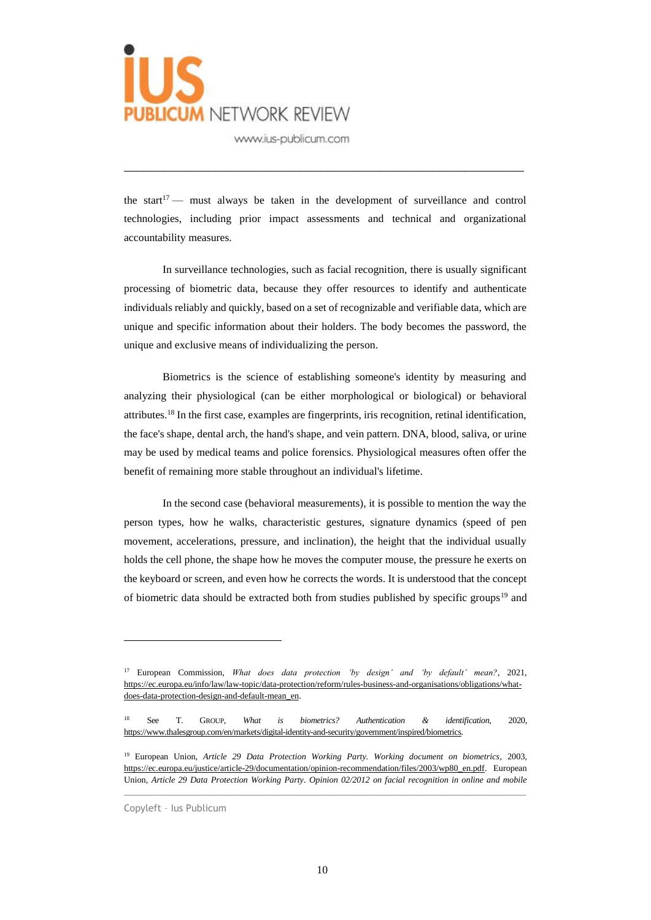

the start<sup>17</sup> — must always be taken in the development of surveillance and control technologies, including prior impact assessments and technical and organizational accountability measures.

\_\_\_\_\_\_\_\_\_\_\_\_\_\_\_\_\_\_\_\_\_\_\_\_\_\_\_\_\_\_\_\_\_\_\_\_\_\_\_\_\_\_\_\_\_\_\_\_\_\_\_\_\_\_\_\_\_\_\_\_\_

In surveillance technologies, such as facial recognition, there is usually significant processing of biometric data, because they offer resources to identify and authenticate individuals reliably and quickly, based on a set of recognizable and verifiable data, which are unique and specific information about their holders. The body becomes the password, the unique and exclusive means of individualizing the person.

Biometrics is the science of establishing someone's identity by measuring and analyzing their physiological (can be either morphological or biological) or behavioral attributes.<sup>18</sup> In the first case, examples are fingerprints, iris recognition, retinal identification, the face's shape, dental arch, the hand's shape, and vein pattern. DNA, blood, saliva, or urine may be used by medical teams and police forensics. Physiological measures often offer the benefit of remaining more stable throughout an individual's lifetime.

In the second case (behavioral measurements), it is possible to mention the way the person types, how he walks, characteristic gestures, signature dynamics (speed of pen movement, accelerations, pressure, and inclination), the height that the individual usually holds the cell phone, the shape how he moves the computer mouse, the pressure he exerts on the keyboard or screen, and even how he corrects the words. It is understood that the concept of biometric data should be extracted both from studies published by specific groups<sup>19</sup> and

 $\_$  , and the set of the set of the set of the set of the set of the set of the set of the set of the set of the set of the set of the set of the set of the set of the set of the set of the set of the set of the set of th

<sup>17</sup> European Commission, *What does data protection 'by design' and 'by default' mean?*, 2021, [https://ec.europa.eu/info/law/law-topic/data-protection/reform/rules-business-and-organisations/obligations/what](https://ec.europa.eu/info/law/law-topic/data-protection/reform/rules-business-and-organisations/obligations/what-does-data-protection-design-and-default-mean_en)[does-data-protection-design-and-default-mean\\_en.](https://ec.europa.eu/info/law/law-topic/data-protection/reform/rules-business-and-organisations/obligations/what-does-data-protection-design-and-default-mean_en)

<sup>18</sup> See T. GROUP, *What is biometrics? Authentication & identification*, 2020, [https://www.thalesgroup.com/en/markets/digital-identity-and-security/government/inspired/biometrics.](about:blank)

<sup>19</sup> European Union, *Article 29 Data Protection Working Party. Working document on biometrics*, 2003, [https://ec.europa.eu/justice/article-29/documentation/opinion-recommendation/files/2003/wp80\\_en.pdf.](about:blank) European Union, *Article 29 Data Protection Working Party. Opinion 02/2012 on facial recognition in online and mobile* 

Copyleft – Ius Publicum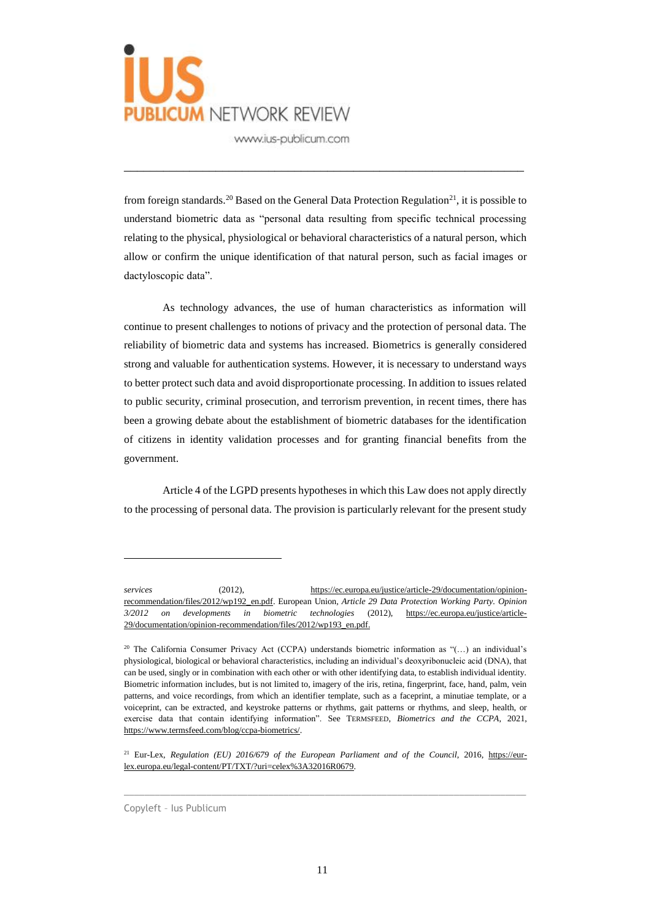

from foreign standards.<sup>20</sup> Based on the General Data Protection Regulation<sup>21</sup>, it is possible to understand biometric data as "personal data resulting from specific technical processing relating to the physical, physiological or behavioral characteristics of a natural person, which allow or confirm the unique identification of that natural person, such as facial images or dactyloscopic data".

\_\_\_\_\_\_\_\_\_\_\_\_\_\_\_\_\_\_\_\_\_\_\_\_\_\_\_\_\_\_\_\_\_\_\_\_\_\_\_\_\_\_\_\_\_\_\_\_\_\_\_\_\_\_\_\_\_\_\_\_\_

As technology advances, the use of human characteristics as information will continue to present challenges to notions of privacy and the protection of personal data. The reliability of biometric data and systems has increased. Biometrics is generally considered strong and valuable for authentication systems. However, it is necessary to understand ways to better protect such data and avoid disproportionate processing. In addition to issues related to public security, criminal prosecution, and terrorism prevention, in recent times, there has been a growing debate about the establishment of biometric databases for the identification of citizens in identity validation processes and for granting financial benefits from the government.

Article 4 of the LGPD presents hypotheses in which this Law does not apply directly to the processing of personal data. The provision is particularly relevant for the present study

 $\_$  , and the set of the set of the set of the set of the set of the set of the set of the set of the set of the set of the set of the set of the set of the set of the set of the set of the set of the set of the set of th

Copyleft – Ius Publicum

*services* (2012), [https://ec.europa.eu/justice/article-29/documentation/opinion](about:blank)[recommendation/files/2012/wp192\\_en.pdf.](about:blank) European Union*, Article 29 Data Protection Working Party. Opinion 3/2012 on developments in biometric technologies* (2012), [https://ec.europa.eu/justice/article-](about:blank)[29/documentation/opinion-recommendation/files/2012/wp193\\_en.pdf.](about:blank)

<sup>20</sup> The California Consumer Privacy Act (CCPA) understands biometric information as "(…) an individual's physiological, biological or behavioral characteristics, including an individual's deoxyribonucleic acid (DNA), that can be used, singly or in combination with each other or with other identifying data, to establish individual identity. Biometric information includes, but is not limited to, imagery of the iris, retina, fingerprint, face, hand, palm, vein patterns, and voice recordings, from which an identifier template, such as a faceprint, a minutiae template, or a voiceprint, can be extracted, and keystroke patterns or rhythms, gait patterns or rhythms, and sleep, health, or exercise data that contain identifying information". See TERMSFEED, *Biometrics and the CCPA*, 2021, [https://www.termsfeed.com/blog/ccpa-biometrics/.](about:blank)

<sup>21</sup> Eur-Lex, *Regulation (EU) 2016/679 of the European Parliament and of the Council*, 2016, [https://eur](about:blank)[lex.europa.eu/legal-content/PT/TXT/?uri=celex%3A32016R0679.](about:blank)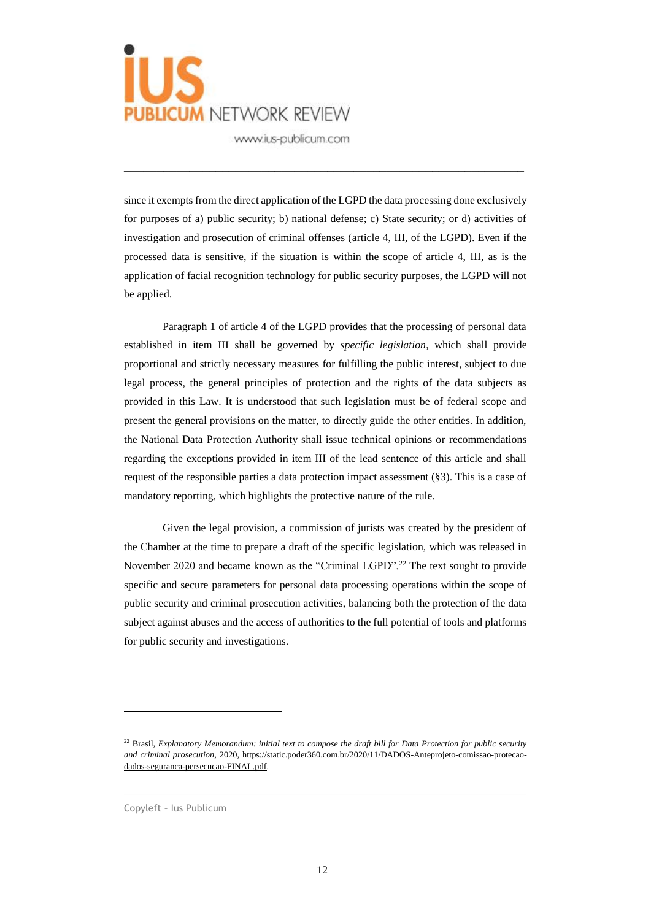

since it exempts from the direct application of the LGPD the data processing done exclusively for purposes of a) public security; b) national defense; c) State security; or d) activities of investigation and prosecution of criminal offenses (article 4, III, of the LGPD). Even if the processed data is sensitive, if the situation is within the scope of article 4, III, as is the application of facial recognition technology for public security purposes, the LGPD will not be applied.

\_\_\_\_\_\_\_\_\_\_\_\_\_\_\_\_\_\_\_\_\_\_\_\_\_\_\_\_\_\_\_\_\_\_\_\_\_\_\_\_\_\_\_\_\_\_\_\_\_\_\_\_\_\_\_\_\_\_\_\_\_

Paragraph 1 of article 4 of the LGPD provides that the processing of personal data established in item III shall be governed by *specific legislation*, which shall provide proportional and strictly necessary measures for fulfilling the public interest, subject to due legal process, the general principles of protection and the rights of the data subjects as provided in this Law. It is understood that such legislation must be of federal scope and present the general provisions on the matter, to directly guide the other entities. In addition, the National Data Protection Authority shall issue technical opinions or recommendations regarding the exceptions provided in item III of the lead sentence of this article and shall request of the responsible parties a data protection impact assessment (§3). This is a case of mandatory reporting, which highlights the protective nature of the rule.

Given the legal provision, a commission of jurists was created by the president of the Chamber at the time to prepare a draft of the specific legislation, which was released in November 2020 and became known as the "Criminal LGPD".<sup>22</sup> The text sought to provide specific and secure parameters for personal data processing operations within the scope of public security and criminal prosecution activities, balancing both the protection of the data subject against abuses and the access of authorities to the full potential of tools and platforms for public security and investigations.

 $\_$  , and the set of the set of the set of the set of the set of the set of the set of the set of the set of the set of the set of the set of the set of the set of the set of the set of the set of the set of the set of th

Copyleft – Ius Publicum

<sup>22</sup> Brasil, *Explanatory Memorandum: initial text to compose the draft bill for Data Protection for public security and criminal prosecution,* 2020[, https://static.poder360.com.br/2020/11/DADOS-Anteprojeto-comissao-protecao](about:blank)[dados-seguranca-persecucao-FINAL.pdf.](about:blank)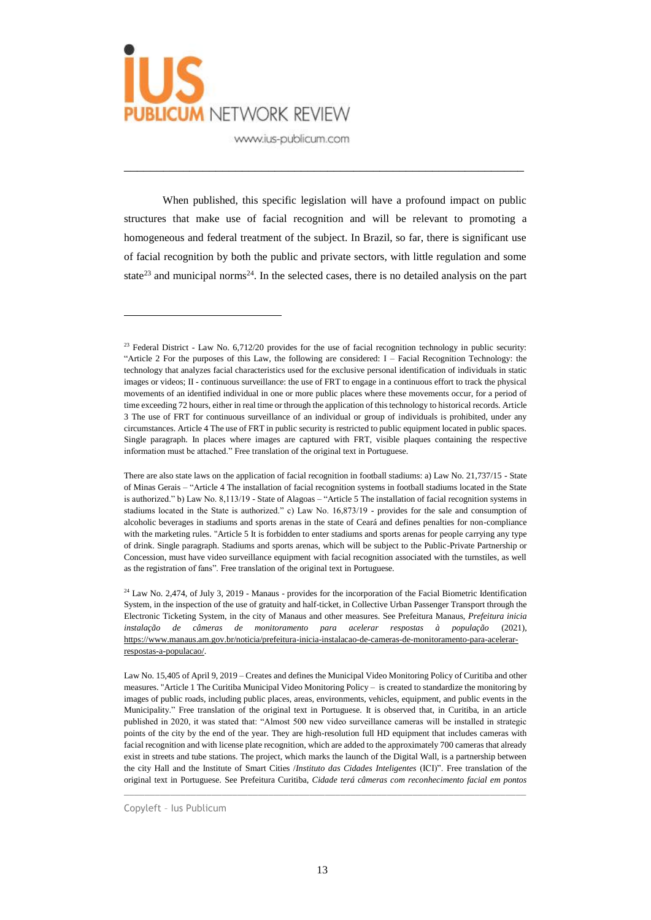

When published, this specific legislation will have a profound impact on public structures that make use of facial recognition and will be relevant to promoting a homogeneous and federal treatment of the subject. In Brazil, so far, there is significant use of facial recognition by both the public and private sectors, with little regulation and some state<sup>23</sup> and municipal norms<sup>24</sup>. In the selected cases, there is no detailed analysis on the part

\_\_\_\_\_\_\_\_\_\_\_\_\_\_\_\_\_\_\_\_\_\_\_\_\_\_\_\_\_\_\_\_\_\_\_\_\_\_\_\_\_\_\_\_\_\_\_\_\_\_\_\_\_\_\_\_\_\_\_\_\_

 $\_$  , and the set of the set of the set of the set of the set of the set of the set of the set of the set of the set of the set of the set of the set of the set of the set of the set of the set of the set of the set of th

 $23$  Federal District - Law No. 6,712/20 provides for the use of facial recognition technology in public security: "Article 2 For the purposes of this Law, the following are considered: I – Facial Recognition Technology: the technology that analyzes facial characteristics used for the exclusive personal identification of individuals in static images or videos; II - continuous surveillance: the use of FRT to engage in a continuous effort to track the physical movements of an identified individual in one or more public places where these movements occur, for a period of time exceeding 72 hours, either in real time or through the application of this technology to historical records. Article 3 The use of FRT for continuous surveillance of an individual or group of individuals is prohibited, under any circumstances. Article 4 The use of FRT in public security is restricted to public equipment located in public spaces. Single paragraph. In places where images are captured with FRT, visible plaques containing the respective information must be attached." Free translation of the original text in Portuguese.

There are also state laws on the application of facial recognition in football stadiums: a) Law No. 21,737/15 - State of Minas Gerais – "Article 4 The installation of facial recognition systems in football stadiums located in the State is authorized." b) Law No. 8,113/19 - State of Alagoas – "Article 5 The installation of facial recognition systems in stadiums located in the State is authorized." c) Law No. 16,873/19 - provides for the sale and consumption of alcoholic beverages in stadiums and sports arenas in the state of Ceará and defines penalties for non-compliance with the marketing rules. "Article 5 It is forbidden to enter stadiums and sports arenas for people carrying any type of drink. Single paragraph. Stadiums and sports arenas, which will be subject to the Public-Private Partnership or Concession, must have video surveillance equipment with facial recognition associated with the turnstiles, as well as the registration of fans". Free translation of the original text in Portuguese.

<sup>24</sup> Law No. 2,474, of July 3, 2019 - Manaus - provides for the incorporation of the Facial Biometric Identification System, in the inspection of the use of gratuity and half-ticket, in Collective Urban Passenger Transport through the Electronic Ticketing System, in the city of Manaus and other measures. See Prefeitura Manaus, *Prefeitura inicia instalação de câmeras de monitoramento para acelerar respostas à população* (2021), [https://www.manaus.am.gov.br/noticia/prefeitura-inicia-instalacao-de-cameras-de-monitoramento-para-acelerar](about:blank)[respostas-a-populacao/.](about:blank)

Law No. 15,405 of April 9, 2019 – Creates and defines the Municipal Video Monitoring Policy of Curitiba and other measures. "Article 1 The Curitiba Municipal Video Monitoring Policy – is created to standardize the monitoring by images of public roads, including public places, areas, environments, vehicles, equipment, and public events in the Municipality." Free translation of the original text in Portuguese. It is observed that, in Curitiba, in an article published in 2020, it was stated that: "Almost 500 new video surveillance cameras will be installed in strategic points of the city by the end of the year. They are high-resolution full HD equipment that includes cameras with facial recognition and with license plate recognition, which are added to the approximately 700 cameras that already exist in streets and tube stations. The project, which marks the launch of the Digital Wall, is a partnership between the city Hall and the Institute of Smart Cities /*Instituto das Cidades Inteligentes* (ICI)". Free translation of the original text in Portuguese. See Prefeitura Curitiba, *Cidade terá câmeras com reconhecimento facial em pontos* 

Copyleft – Ius Publicum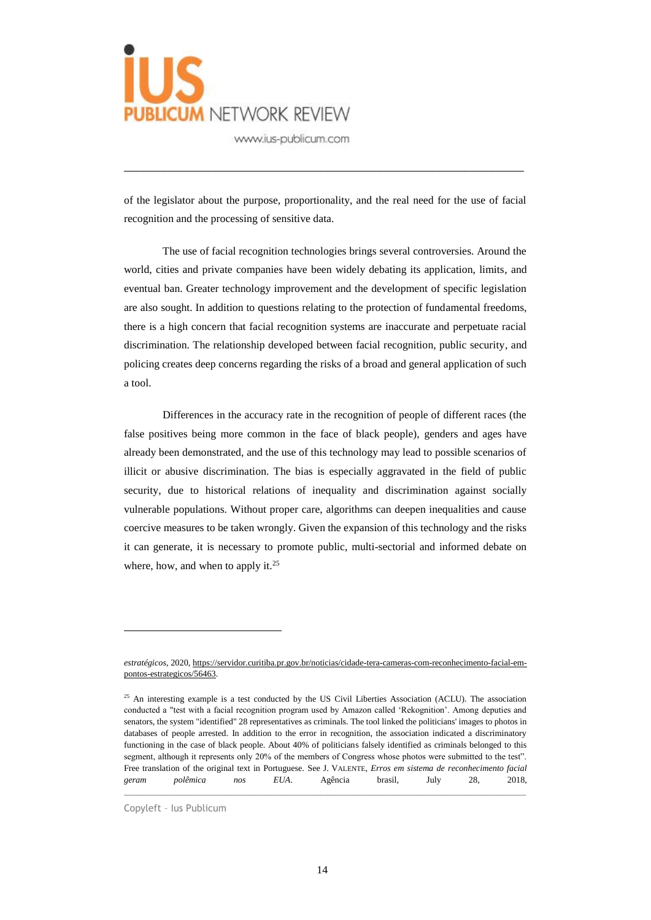

of the legislator about the purpose, proportionality, and the real need for the use of facial recognition and the processing of sensitive data.

\_\_\_\_\_\_\_\_\_\_\_\_\_\_\_\_\_\_\_\_\_\_\_\_\_\_\_\_\_\_\_\_\_\_\_\_\_\_\_\_\_\_\_\_\_\_\_\_\_\_\_\_\_\_\_\_\_\_\_\_\_

The use of facial recognition technologies brings several controversies. Around the world, cities and private companies have been widely debating its application, limits, and eventual ban. Greater technology improvement and the development of specific legislation are also sought. In addition to questions relating to the protection of fundamental freedoms, there is a high concern that facial recognition systems are inaccurate and perpetuate racial discrimination. The relationship developed between facial recognition, public security, and policing creates deep concerns regarding the risks of a broad and general application of such a tool.

Differences in the accuracy rate in the recognition of people of different races (the false positives being more common in the face of black people), genders and ages have already been demonstrated, and the use of this technology may lead to possible scenarios of illicit or abusive discrimination. The bias is especially aggravated in the field of public security, due to historical relations of inequality and discrimination against socially vulnerable populations. Without proper care, algorithms can deepen inequalities and cause coercive measures to be taken wrongly. Given the expansion of this technology and the risks it can generate, it is necessary to promote public, multi-sectorial and informed debate on where, how, and when to apply it.<sup>25</sup>

 $\_$  , and the set of the set of the set of the set of the set of the set of the set of the set of the set of the set of the set of the set of the set of the set of the set of the set of the set of the set of the set of th

Copyleft – Ius Publicum

*estratégicos*, 2020[, https://servidor.curitiba.pr.gov.br/noticias/cidade-tera-cameras-com-reconhecimento-facial-em](about:blank)[pontos-estrategicos/56463.](about:blank)

<sup>&</sup>lt;sup>25</sup> An interesting example is a test conducted by the US Civil Liberties Association (ACLU). The association conducted a "test with a facial recognition program used by Amazon called 'Rekognition'. Among deputies and senators, the system "identified" 28 representatives as criminals. The tool linked the politicians' images to photos in databases of people arrested. In addition to the error in recognition, the association indicated a discriminatory functioning in the case of black people. About 40% of politicians falsely identified as criminals belonged to this segment, although it represents only 20% of the members of Congress whose photos were submitted to the test". Free translation of the original text in Portuguese. See J. VALENTE, *Erros em sistema de reconhecimento facial geram polêmica nos EUA*. Agência brasil, July 28, 2018,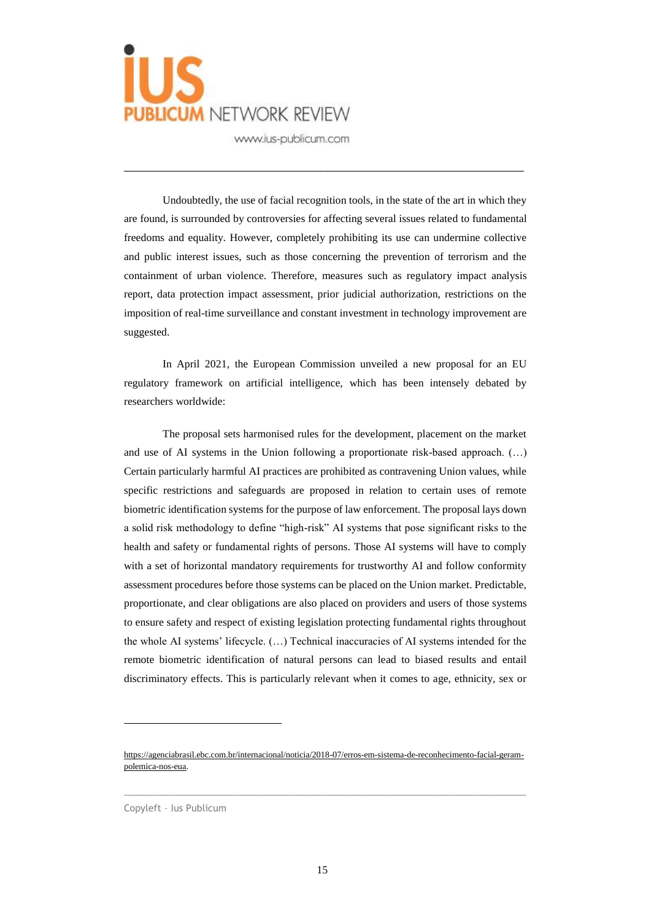

Undoubtedly, the use of facial recognition tools, in the state of the art in which they are found, is surrounded by controversies for affecting several issues related to fundamental freedoms and equality. However, completely prohibiting its use can undermine collective and public interest issues, such as those concerning the prevention of terrorism and the containment of urban violence. Therefore, measures such as regulatory impact analysis report, data protection impact assessment, prior judicial authorization, restrictions on the imposition of real-time surveillance and constant investment in technology improvement are suggested.

\_\_\_\_\_\_\_\_\_\_\_\_\_\_\_\_\_\_\_\_\_\_\_\_\_\_\_\_\_\_\_\_\_\_\_\_\_\_\_\_\_\_\_\_\_\_\_\_\_\_\_\_\_\_\_\_\_\_\_\_\_

In April 2021, the European Commission unveiled a new proposal for an EU regulatory framework on artificial intelligence, which has been intensely debated by researchers worldwide:

The proposal sets harmonised rules for the development, placement on the market and use of AI systems in the Union following a proportionate risk-based approach. (…) Certain particularly harmful AI practices are prohibited as contravening Union values, while specific restrictions and safeguards are proposed in relation to certain uses of remote biometric identification systems for the purpose of law enforcement. The proposal lays down a solid risk methodology to define "high-risk" AI systems that pose significant risks to the health and safety or fundamental rights of persons. Those AI systems will have to comply with a set of horizontal mandatory requirements for trustworthy AI and follow conformity assessment procedures before those systems can be placed on the Union market. Predictable, proportionate, and clear obligations are also placed on providers and users of those systems to ensure safety and respect of existing legislation protecting fundamental rights throughout the whole AI systems' lifecycle. (…) Technical inaccuracies of AI systems intended for the remote biometric identification of natural persons can lead to biased results and entail discriminatory effects. This is particularly relevant when it comes to age, ethnicity, sex or

 $\_$  , and the set of the set of the set of the set of the set of the set of the set of the set of the set of the set of the set of the set of the set of the set of the set of the set of the set of the set of the set of th

[https://agenciabrasil.ebc.com.br/internacional/noticia/2018-07/erros-em-sistema-de-reconhecimento-facial-geram](about:blank)[polemica-nos-eua.](about:blank) 

Copyleft – Ius Publicum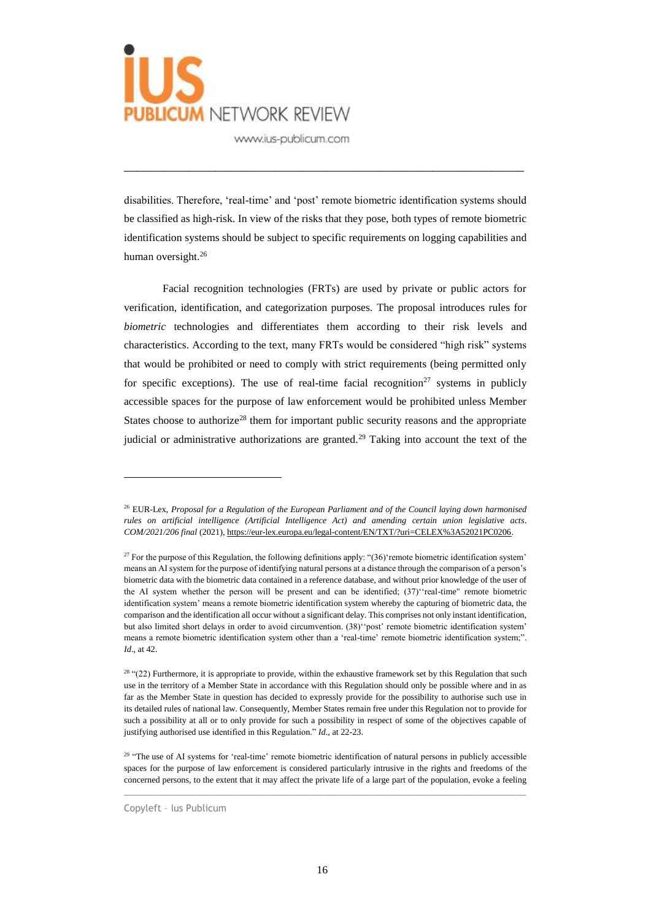

disabilities. Therefore, 'real-time' and 'post' remote biometric identification systems should be classified as high-risk. In view of the risks that they pose, both types of remote biometric identification systems should be subject to specific requirements on logging capabilities and human oversight.<sup>26</sup>

\_\_\_\_\_\_\_\_\_\_\_\_\_\_\_\_\_\_\_\_\_\_\_\_\_\_\_\_\_\_\_\_\_\_\_\_\_\_\_\_\_\_\_\_\_\_\_\_\_\_\_\_\_\_\_\_\_\_\_\_\_

Facial recognition technologies (FRTs) are used by private or public actors for verification, identification, and categorization purposes. The proposal introduces rules for *biometric* technologies and differentiates them according to their risk levels and characteristics. According to the text, many FRTs would be considered "high risk" systems that would be prohibited or need to comply with strict requirements (being permitted only for specific exceptions). The use of real-time facial recognition<sup>27</sup> systems in publicly accessible spaces for the purpose of law enforcement would be prohibited unless Member States choose to authorize<sup>28</sup> them for important public security reasons and the appropriate judicial or administrative authorizations are granted.<sup>29</sup> Taking into account the text of the

 $\_$  , and the set of the set of the set of the set of the set of the set of the set of the set of the set of the set of the set of the set of the set of the set of the set of the set of the set of the set of the set of th

<sup>26</sup> EUR-Lex, *Proposal for a Regulation of the European Parliament and of the Council laying down harmonised rules on artificial intelligence (Artificial Intelligence Act) and amending certain union legislative acts*. *COM/2021/206 final* (2021)[, https://eur-lex.europa.eu/legal-content/EN/TXT/?uri=CELEX%3A52021PC0206.](https://eur-lex.europa.eu/legal-content/EN/TXT/?uri=CELEX%3A52021PC0206)

<sup>&</sup>lt;sup>27</sup> For the purpose of this Regulation, the following definitions apply: "(36)'remote biometric identification system' means an AI system for the purpose of identifying natural persons at a distance through the comparison of a person's biometric data with the biometric data contained in a reference database, and without prior knowledge of the user of the AI system whether the person will be present and can be identified; (37)''real-time" remote biometric identification system' means a remote biometric identification system whereby the capturing of biometric data, the comparison and the identification all occur without a significant delay. This comprises not only instant identification, but also limited short delays in order to avoid circumvention. (38)''post' remote biometric identification system' means a remote biometric identification system other than a 'real-time' remote biometric identification system;". *Id*., at 42.

<sup>&</sup>lt;sup>28</sup> "(22) Furthermore, it is appropriate to provide, within the exhaustive framework set by this Regulation that such use in the territory of a Member State in accordance with this Regulation should only be possible where and in as far as the Member State in question has decided to expressly provide for the possibility to authorise such use in its detailed rules of national law. Consequently, Member States remain free under this Regulation not to provide for such a possibility at all or to only provide for such a possibility in respect of some of the objectives capable of justifying authorised use identified in this Regulation." *Id*., at 22-23.

<sup>&</sup>lt;sup>29</sup> "The use of AI systems for 'real-time' remote biometric identification of natural persons in publicly accessible spaces for the purpose of law enforcement is considered particularly intrusive in the rights and freedoms of the concerned persons, to the extent that it may affect the private life of a large part of the population, evoke a feeling

Copyleft – Ius Publicum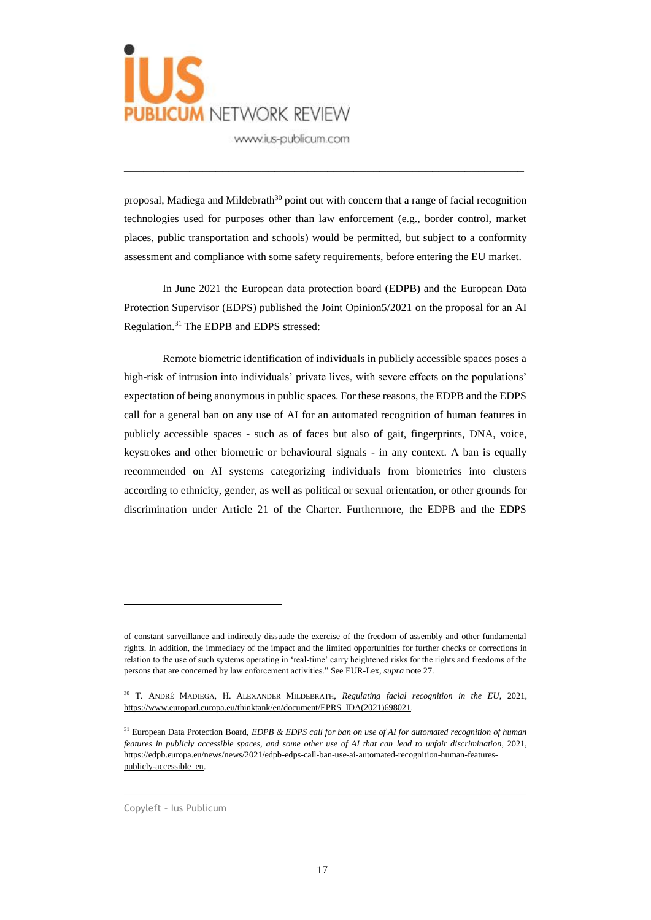

proposal, Madiega and Mildebrath<sup>30</sup> point out with concern that a range of facial recognition technologies used for purposes other than law enforcement (e.g., border control, market places, public transportation and schools) would be permitted, but subject to a conformity assessment and compliance with some safety requirements, before entering the EU market.

\_\_\_\_\_\_\_\_\_\_\_\_\_\_\_\_\_\_\_\_\_\_\_\_\_\_\_\_\_\_\_\_\_\_\_\_\_\_\_\_\_\_\_\_\_\_\_\_\_\_\_\_\_\_\_\_\_\_\_\_\_

In June 2021 the European data protection board (EDPB) and the European Data Protection Supervisor (EDPS) published the Joint Opinion5/2021 on the proposal for an AI Regulation.<sup>31</sup> The EDPB and EDPS stressed:

Remote biometric identification of individuals in publicly accessible spaces poses a high-risk of intrusion into individuals' private lives, with severe effects on the populations' expectation of being anonymous in public spaces. For these reasons, the EDPB and the EDPS call for a general ban on any use of AI for an automated recognition of human features in publicly accessible spaces - such as of faces but also of gait, fingerprints, DNA, voice, keystrokes and other biometric or behavioural signals - in any context. A ban is equally recommended on AI systems categorizing individuals from biometrics into clusters according to ethnicity, gender, as well as political or sexual orientation, or other grounds for discrimination under Article 21 of the Charter. Furthermore, the EDPB and the EDPS

 $\_$  , and the set of the set of the set of the set of the set of the set of the set of the set of the set of the set of the set of the set of the set of the set of the set of the set of the set of the set of the set of th

Copyleft – Ius Publicum

of constant surveillance and indirectly dissuade the exercise of the freedom of assembly and other fundamental rights. In addition, the immediacy of the impact and the limited opportunities for further checks or corrections in relation to the use of such systems operating in 'real-time' carry heightened risks for the rights and freedoms of the persons that are concerned by law enforcement activities." See EUR-Lex, *supra* note 27.

<sup>30</sup> T. ANDRÉ MADIEGA, H. ALEXANDER MILDEBRATH, *Regulating facial recognition in the EU*, 2021, [https://www.europarl.europa.eu/thinktank/en/document/EPRS\\_IDA\(2021\)698021.](https://www.europarl.europa.eu/thinktank/en/document/EPRS_IDA(2021)698021)

<sup>31</sup> European Data Protection Board, *EDPB & EDPS call for ban on use of AI for automated recognition of human features in publicly accessible spaces, and some other use of AI that can lead to unfair discrimination*, 2021, [https://edpb.europa.eu/news/news/2021/edpb-edps-call-ban-use-ai-automated-recognition-human-features](https://edpb.europa.eu/news/news/2021/edpb-edps-call-ban-use-ai-automated-recognition-human-features-publicly-accessible_en)[publicly-accessible\\_en.](https://edpb.europa.eu/news/news/2021/edpb-edps-call-ban-use-ai-automated-recognition-human-features-publicly-accessible_en)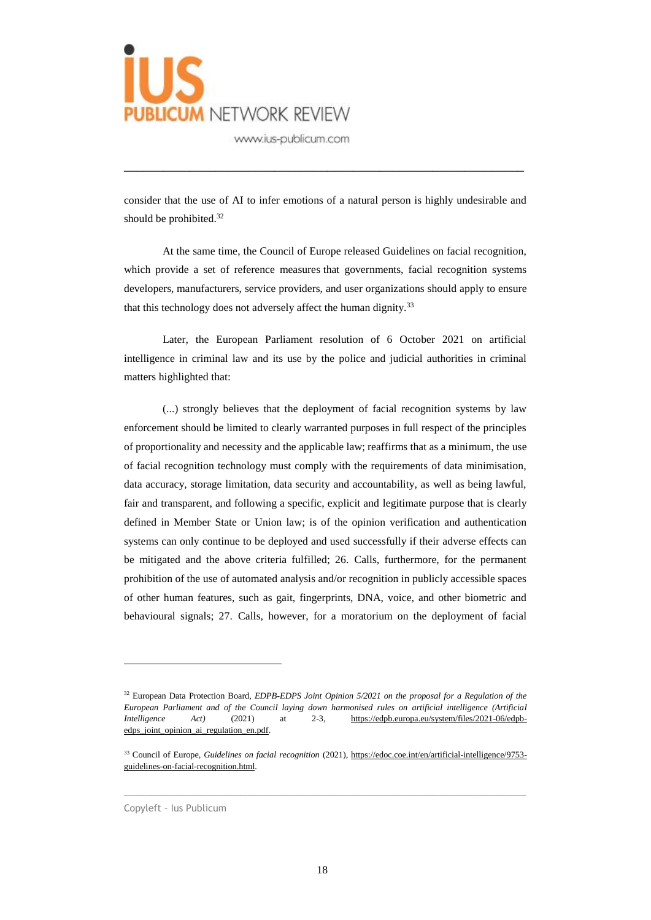

consider that the use of AI to infer emotions of a natural person is highly undesirable and should be prohibited.<sup>32</sup>

\_\_\_\_\_\_\_\_\_\_\_\_\_\_\_\_\_\_\_\_\_\_\_\_\_\_\_\_\_\_\_\_\_\_\_\_\_\_\_\_\_\_\_\_\_\_\_\_\_\_\_\_\_\_\_\_\_\_\_\_\_

At the same time, the Council of Europe released Guidelines on facial recognition, which provide a set of reference measures that governments, facial recognition systems developers, manufacturers, service providers, and user organizations should apply to ensure that this technology does not adversely affect the human dignity.<sup>33</sup>

Later, the European Parliament resolution of 6 October 2021 on artificial intelligence in criminal law and its use by the police and judicial authorities in criminal matters highlighted that:

(...) strongly believes that the deployment of facial recognition systems by law enforcement should be limited to clearly warranted purposes in full respect of the principles of proportionality and necessity and the applicable law; reaffirms that as a minimum, the use of facial recognition technology must comply with the requirements of data minimisation, data accuracy, storage limitation, data security and accountability, as well as being lawful, fair and transparent, and following a specific, explicit and legitimate purpose that is clearly defined in Member State or Union law; is of the opinion verification and authentication systems can only continue to be deployed and used successfully if their adverse effects can be mitigated and the above criteria fulfilled; 26. Calls, furthermore, for the permanent prohibition of the use of automated analysis and/or recognition in publicly accessible spaces of other human features, such as gait, fingerprints, DNA, voice, and other biometric and behavioural signals; 27. Calls, however, for a moratorium on the deployment of facial

 $\_$  , and the set of the set of the set of the set of the set of the set of the set of the set of the set of the set of the set of the set of the set of the set of the set of the set of the set of the set of the set of th

Copyleft – Ius Publicum

<sup>&</sup>lt;sup>32</sup> European Data Protection Board, *EDPB-EDPS Joint Opinion 5/2021 on the proposal for a Regulation of the European Parliament and of the Council laying down harmonised rules on artificial intelligence (Artificial Intelligence Act)* (2021) at 2-3, [https://edpb.europa.eu/system/files/2021-06/edpb](https://edpb.europa.eu/system/files/2021-06/edpb-edps_joint_opinion_ai_regulation_en.pdf)[edps\\_joint\\_opinion\\_ai\\_regulation\\_en.pdf.](https://edpb.europa.eu/system/files/2021-06/edpb-edps_joint_opinion_ai_regulation_en.pdf)

<sup>33</sup> Council of Europe, *Guidelines on facial recognition* (2021), [https://edoc.coe.int/en/artificial-intelligence/9753](https://edoc.coe.int/en/artificial-intelligence/9753-guidelines-on-facial-recognition.html) [guidelines-on-facial-recognition.html.](https://edoc.coe.int/en/artificial-intelligence/9753-guidelines-on-facial-recognition.html)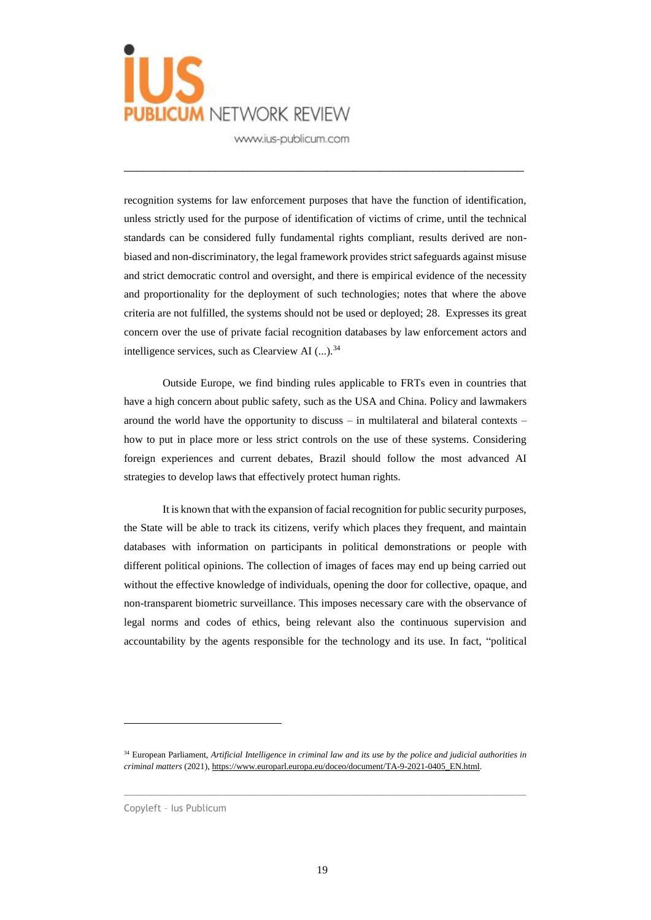

recognition systems for law enforcement purposes that have the function of identification, unless strictly used for the purpose of identification of victims of crime*,* until the technical standards can be considered fully fundamental rights compliant, results derived are nonbiased and non-discriminatory, the legal framework provides strict safeguards against misuse and strict democratic control and oversight, and there is empirical evidence of the necessity and proportionality for the deployment of such technologies; notes that where the above criteria are not fulfilled, the systems should not be used or deployed; 28. Expresses its great concern over the use of private facial recognition databases by law enforcement actors and intelligence services, such as Clearview AI  $(...)$ .<sup>34</sup>

\_\_\_\_\_\_\_\_\_\_\_\_\_\_\_\_\_\_\_\_\_\_\_\_\_\_\_\_\_\_\_\_\_\_\_\_\_\_\_\_\_\_\_\_\_\_\_\_\_\_\_\_\_\_\_\_\_\_\_\_\_

Outside Europe, we find binding rules applicable to FRTs even in countries that have a high concern about public safety, such as the USA and China. Policy and lawmakers around the world have the opportunity to discuss – in multilateral and bilateral contexts – how to put in place more or less strict controls on the use of these systems. Considering foreign experiences and current debates, Brazil should follow the most advanced AI strategies to develop laws that effectively protect human rights.

It is known that with the expansion of facial recognition for public security purposes, the State will be able to track its citizens, verify which places they frequent, and maintain databases with information on participants in political demonstrations or people with different political opinions. The collection of images of faces may end up being carried out without the effective knowledge of individuals, opening the door for collective, opaque, and non-transparent biometric surveillance. This imposes necessary care with the observance of legal norms and codes of ethics, being relevant also the continuous supervision and accountability by the agents responsible for the technology and its use. In fact, "political

 $\_$  , and the set of the set of the set of the set of the set of the set of the set of the set of the set of the set of the set of the set of the set of the set of the set of the set of the set of the set of the set of th

<sup>34</sup> European Parliament, *Artificial Intelligence in criminal law and its use by the police and judicial authorities in criminal matters* (2021), [https://www.europarl.europa.eu/doceo/document/TA-9-2021-0405\\_EN.html.](https://www.europarl.europa.eu/doceo/document/TA-9-2021-0405_EN.html)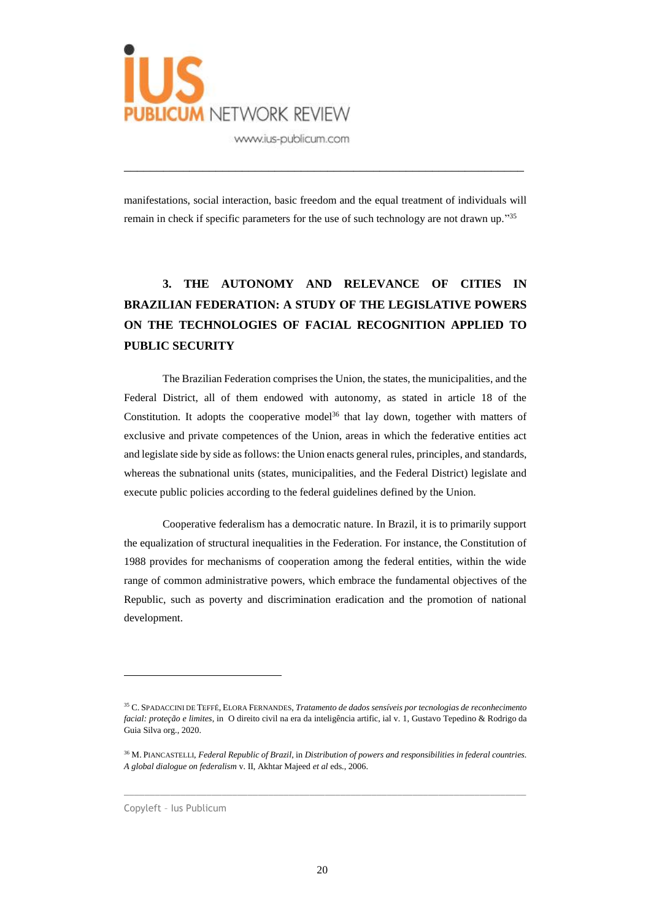

manifestations, social interaction, basic freedom and the equal treatment of individuals will remain in check if specific parameters for the use of such technology are not drawn up."<sup>35</sup>

\_\_\_\_\_\_\_\_\_\_\_\_\_\_\_\_\_\_\_\_\_\_\_\_\_\_\_\_\_\_\_\_\_\_\_\_\_\_\_\_\_\_\_\_\_\_\_\_\_\_\_\_\_\_\_\_\_\_\_\_\_

## **3. THE AUTONOMY AND RELEVANCE OF CITIES IN BRAZILIAN FEDERATION: A STUDY OF THE LEGISLATIVE POWERS ON THE TECHNOLOGIES OF FACIAL RECOGNITION APPLIED TO PUBLIC SECURITY**

The Brazilian Federation comprises the Union, the states, the municipalities, and the Federal District, all of them endowed with autonomy, as stated in article 18 of the Constitution. It adopts the cooperative model<sup>36</sup> that lay down, together with matters of exclusive and private competences of the Union, areas in which the federative entities act and legislate side by side as follows: the Union enacts general rules, principles, and standards, whereas the subnational units (states, municipalities, and the Federal District) legislate and execute public policies according to the federal guidelines defined by the Union.

Cooperative federalism has a democratic nature. In Brazil, it is to primarily support the equalization of structural inequalities in the Federation. For instance, the Constitution of 1988 provides for mechanisms of cooperation among the federal entities, within the wide range of common administrative powers, which embrace the fundamental objectives of the Republic, such as poverty and discrimination eradication and the promotion of national development.

 $\_$  , and the set of the set of the set of the set of the set of the set of the set of the set of the set of the set of the set of the set of the set of the set of the set of the set of the set of the set of the set of th

Copyleft – Ius Publicum

<sup>35</sup> C. SPADACCINI DE TEFFÉ, ELORA FERNANDES, *Tratamento de dados sensíveis por tecnologias de reconhecimento facial: proteção e limites*, in O direito civil na era da inteligência artific, ial v. 1, Gustavo Tepedino & Rodrigo da Guia Silva org., 2020.

<sup>36</sup> M. PIANCASTELLI, *Federal Republic of Brazil*, in *Distribution of powers and responsibilities in federal countries. A global dialogue on federalism* v. II, Akhtar Majeed *et al* eds., 2006.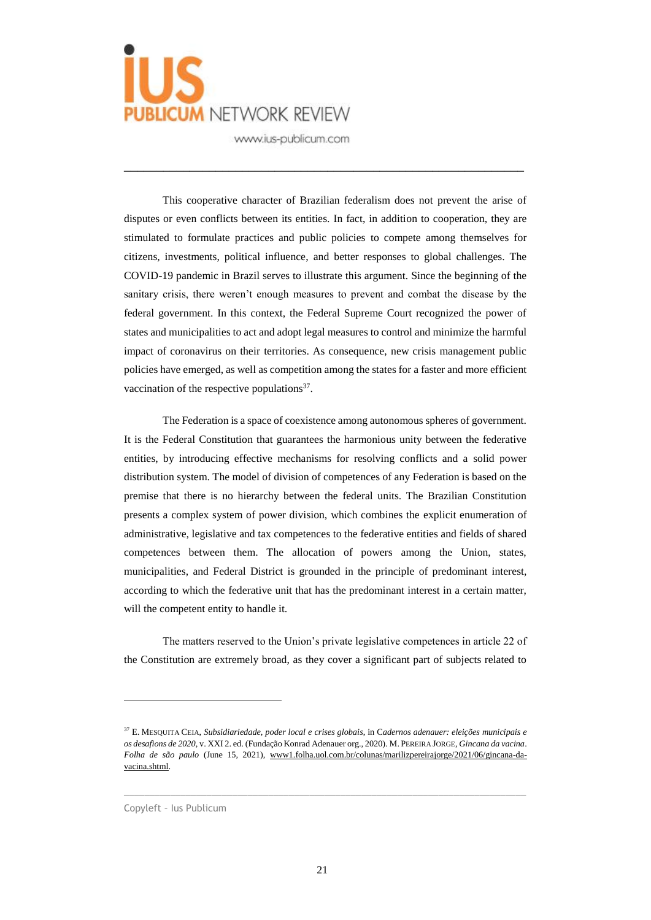

This cooperative character of Brazilian federalism does not prevent the arise of disputes or even conflicts between its entities. In fact, in addition to cooperation, they are stimulated to formulate practices and public policies to compete among themselves for citizens, investments, political influence, and better responses to global challenges. The COVID-19 pandemic in Brazil serves to illustrate this argument. Since the beginning of the sanitary crisis, there weren't enough measures to prevent and combat the disease by the federal government. In this context, the Federal Supreme Court recognized the power of states and municipalities to act and adopt legal measures to control and minimize the harmful impact of coronavirus on their territories. As consequence, new crisis management public policies have emerged, as well as competition among the states for a faster and more efficient vaccination of the respective populations $37$ .

\_\_\_\_\_\_\_\_\_\_\_\_\_\_\_\_\_\_\_\_\_\_\_\_\_\_\_\_\_\_\_\_\_\_\_\_\_\_\_\_\_\_\_\_\_\_\_\_\_\_\_\_\_\_\_\_\_\_\_\_\_

The Federation is a space of coexistence among autonomous spheres of government. It is the Federal Constitution that guarantees the harmonious unity between the federative entities, by introducing effective mechanisms for resolving conflicts and a solid power distribution system. The model of division of competences of any Federation is based on the premise that there is no hierarchy between the federal units. The Brazilian Constitution presents a complex system of power division, which combines the explicit enumeration of administrative, legislative and tax competences to the federative entities and fields of shared competences between them. The allocation of powers among the Union, states, municipalities, and Federal District is grounded in the principle of predominant interest, according to which the federative unit that has the predominant interest in a certain matter, will the competent entity to handle it.

The matters reserved to the Union's private legislative competences in article 22 of the Constitution are extremely broad, as they cover a significant part of subjects related to

 $\_$  , and the set of the set of the set of the set of the set of the set of the set of the set of the set of the set of the set of the set of the set of the set of the set of the set of the set of the set of the set of th

<sup>37</sup> E. MESQUITA CEIA, *Subsidiariedade, poder local e crises globais*, in C*adernos adenauer: eleições municipais e os desafions de 2020*, v. XXI 2. ed. (Fundação Konrad Adenauer org., 2020). M. PEREIRA JORGE, *Gincana da vacina*. *Folha de são paulo* (June 15, 2021), [www1.folha.uol.com.br/colunas/marilizpereirajorge/2021/06/gincana-da](about:blank)[vacina.shtml.](about:blank)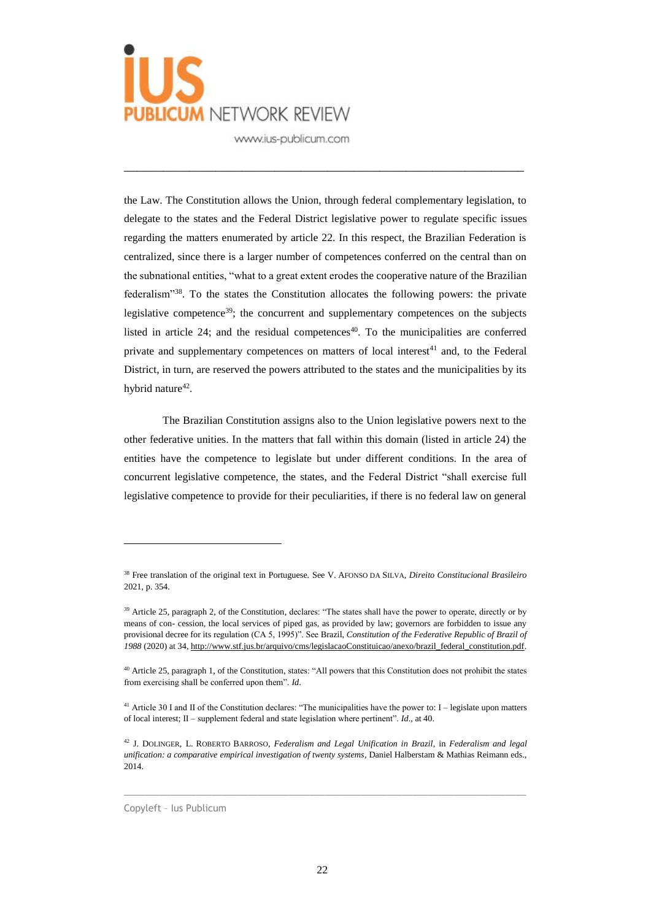

the Law. The Constitution allows the Union, through federal complementary legislation, to delegate to the states and the Federal District legislative power to regulate specific issues regarding the matters enumerated by article 22. In this respect, the Brazilian Federation is centralized, since there is a larger number of competences conferred on the central than on the subnational entities, "what to a great extent erodes the cooperative nature of the Brazilian federalism"<sup>38</sup>. To the states the Constitution allocates the following powers: the private legislative competence<sup>39</sup>; the concurrent and supplementary competences on the subjects listed in article 24; and the residual competences<sup>40</sup>. To the municipalities are conferred private and supplementary competences on matters of local interest<sup>41</sup> and, to the Federal District, in turn, are reserved the powers attributed to the states and the municipalities by its hybrid nature<sup>42</sup>.

\_\_\_\_\_\_\_\_\_\_\_\_\_\_\_\_\_\_\_\_\_\_\_\_\_\_\_\_\_\_\_\_\_\_\_\_\_\_\_\_\_\_\_\_\_\_\_\_\_\_\_\_\_\_\_\_\_\_\_\_\_

The Brazilian Constitution assigns also to the Union legislative powers next to the other federative unities. In the matters that fall within this domain (listed in article 24) the entities have the competence to legislate but under different conditions. In the area of concurrent legislative competence, the states, and the Federal District "shall exercise full legislative competence to provide for their peculiarities, if there is no federal law on general

 $\_$  , and the set of the set of the set of the set of the set of the set of the set of the set of the set of the set of the set of the set of the set of the set of the set of the set of the set of the set of the set of th

Copyleft – Ius Publicum

<sup>38</sup> Free translation of the original text in Portuguese. See V. AFONSO DA SILVA, *Direito Constitucional Brasileiro* 2021, p. 354.

<sup>&</sup>lt;sup>39</sup> Article 25, paragraph 2, of the Constitution, declares: "The states shall have the power to operate, directly or by means of con- cession, the local services of piped gas, as provided by law; governors are forbidden to issue any provisional decree for its regulation (CA 5, 1995)". See Brazil, *Constitution of the Federative Republic of Brazil of 1988* (2020) at 34[, http://www.stf.jus.br/arquivo/cms/legislacaoConstituicao/anexo/brazil\\_federal\\_constitution.pdf.](about:blank)

<sup>40</sup> Article 25, paragraph 1, of the Constitution, states: "All powers that this Constitution does not prohibit the states from exercising shall be conferred upon them". *Id*.

<sup>&</sup>lt;sup>41</sup> Article 30 I and II of the Constitution declares: "The municipalities have the power to: I – legislate upon matters of local interest; II – supplement federal and state legislation where pertinent". *Id*., at 40.

<sup>42</sup> J. DOLINGER, L. ROBERTO BARROSO, *Federalism and Legal Unification in Brazil*, in *Federalism and legal unification: a comparative empirical investigation of twenty systems*, Daniel Halberstam & Mathias Reimann eds., 2014.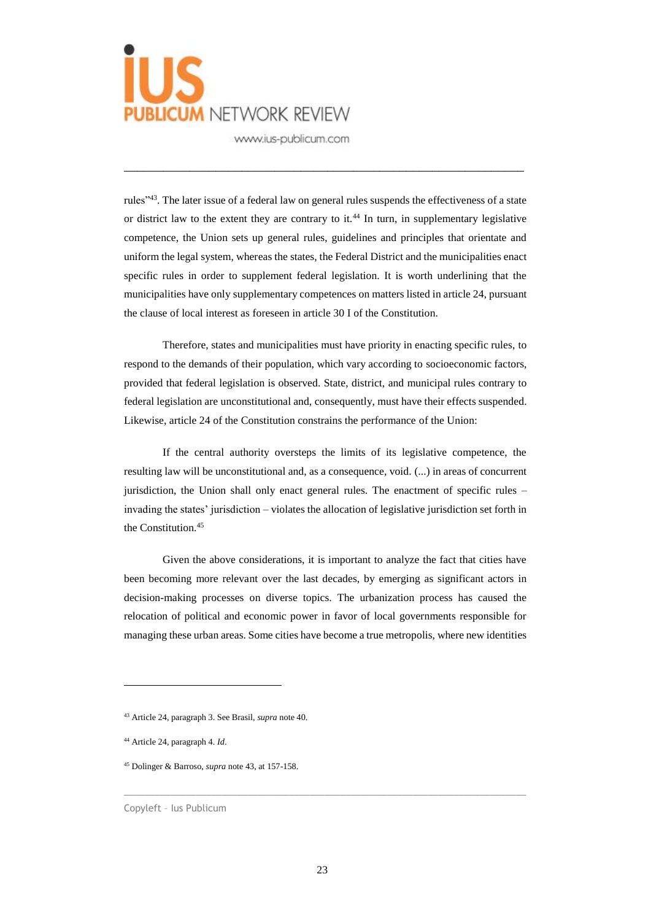

rules"<sup>43</sup>. The later issue of a federal law on general rules suspends the effectiveness of a state or district law to the extent they are contrary to it.<sup>44</sup> In turn, in supplementary legislative competence, the Union sets up general rules, guidelines and principles that orientate and uniform the legal system, whereas the states, the Federal District and the municipalities enact specific rules in order to supplement federal legislation. It is worth underlining that the municipalities have only supplementary competences on matters listed in article 24, pursuant the clause of local interest as foreseen in article 30 I of the Constitution.

\_\_\_\_\_\_\_\_\_\_\_\_\_\_\_\_\_\_\_\_\_\_\_\_\_\_\_\_\_\_\_\_\_\_\_\_\_\_\_\_\_\_\_\_\_\_\_\_\_\_\_\_\_\_\_\_\_\_\_\_\_

Therefore, states and municipalities must have priority in enacting specific rules, to respond to the demands of their population, which vary according to socioeconomic factors, provided that federal legislation is observed. State, district, and municipal rules contrary to federal legislation are unconstitutional and, consequently, must have their effects suspended. Likewise, article 24 of the Constitution constrains the performance of the Union:

If the central authority oversteps the limits of its legislative competence, the resulting law will be unconstitutional and, as a consequence, void. (...) in areas of concurrent jurisdiction, the Union shall only enact general rules. The enactment of specific rules – invading the states' jurisdiction – violates the allocation of legislative jurisdiction set forth in the Constitution.<sup>45</sup>

Given the above considerations, it is important to analyze the fact that cities have been becoming more relevant over the last decades, by emerging as significant actors in decision-making processes on diverse topics. The urbanization process has caused the relocation of political and economic power in favor of local governments responsible for managing these urban areas. Some cities have become a true metropolis, where new identities

 $\overline{a}$ 

<sup>43</sup> Article 24, paragraph 3. See Brasil, *supra* note 40.

<sup>44</sup> Article 24, paragraph 4. *Id*.

<sup>45</sup> Dolinger & Barroso, *supra* note 43, at 157-158.

Copyleft – Ius Publicum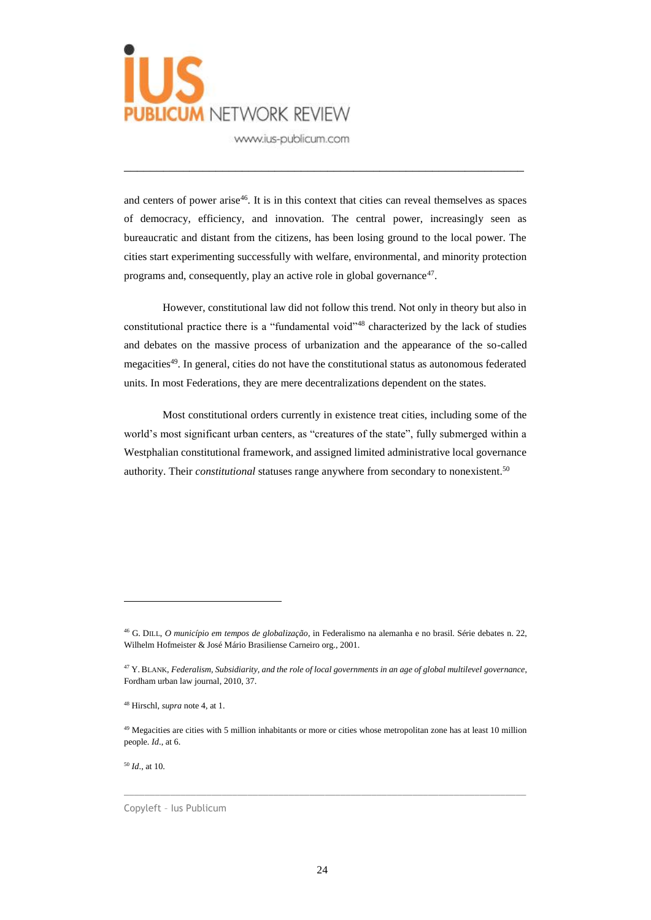

and centers of power arise<sup>46</sup>. It is in this context that cities can reveal themselves as spaces of democracy, efficiency, and innovation. The central power, increasingly seen as bureaucratic and distant from the citizens, has been losing ground to the local power. The cities start experimenting successfully with welfare, environmental, and minority protection programs and, consequently, play an active role in global governance<sup>47</sup>.

\_\_\_\_\_\_\_\_\_\_\_\_\_\_\_\_\_\_\_\_\_\_\_\_\_\_\_\_\_\_\_\_\_\_\_\_\_\_\_\_\_\_\_\_\_\_\_\_\_\_\_\_\_\_\_\_\_\_\_\_\_

However, constitutional law did not follow this trend. Not only in theory but also in constitutional practice there is a "fundamental void"<sup>48</sup> characterized by the lack of studies and debates on the massive process of urbanization and the appearance of the so-called megacities<sup>49</sup>. In general, cities do not have the constitutional status as autonomous federated units. In most Federations, they are mere decentralizations dependent on the states.

Most constitutional orders currently in existence treat cities, including some of the world's most significant urban centers, as "creatures of the state", fully submerged within a Westphalian constitutional framework, and assigned limited administrative local governance authority. Their *constitutional* statuses range anywhere from secondary to nonexistent.<sup>50</sup>

 $\_$  , and the set of the set of the set of the set of the set of the set of the set of the set of the set of the set of the set of the set of the set of the set of the set of the set of the set of the set of the set of th

<sup>50</sup> *Id*., at 10.

 $\overline{a}$ 

Copyleft – Ius Publicum

<sup>46</sup> G. DILL, *O município em tempos de globalização*, in Federalismo na alemanha e no brasil. Série debates n. 22, Wilhelm Hofmeister & José Mário Brasiliense Carneiro org., 2001.

<sup>47</sup> Y. BLANK, *Federalism, Subsidiarity, and the role of local governments in an age of global multilevel governance*, Fordham urban law journal, 2010, 37.

<sup>48</sup> Hirschl, *supra* note 4, at 1.

 $49$  Megacities are cities with 5 million inhabitants or more or cities whose metropolitan zone has at least 10 million people. *Id*., at 6.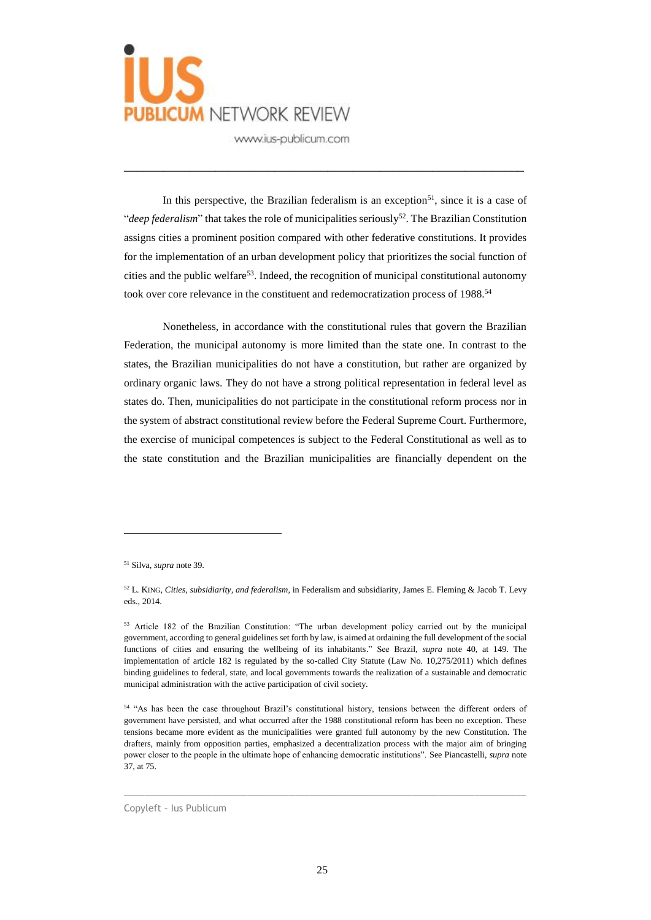

In this perspective, the Brazilian federalism is an exception<sup>51</sup>, since it is a case of "*deep federalism*" that takes the role of municipalities seriously<sup>52</sup>. The Brazilian Constitution assigns cities a prominent position compared with other federative constitutions. It provides for the implementation of an urban development policy that prioritizes the social function of cities and the public welfare<sup>53</sup>. Indeed, the recognition of municipal constitutional autonomy took over core relevance in the constituent and redemocratization process of 1988.<sup>54</sup>

\_\_\_\_\_\_\_\_\_\_\_\_\_\_\_\_\_\_\_\_\_\_\_\_\_\_\_\_\_\_\_\_\_\_\_\_\_\_\_\_\_\_\_\_\_\_\_\_\_\_\_\_\_\_\_\_\_\_\_\_\_

Nonetheless, in accordance with the constitutional rules that govern the Brazilian Federation, the municipal autonomy is more limited than the state one. In contrast to the states, the Brazilian municipalities do not have a constitution, but rather are organized by ordinary organic laws. They do not have a strong political representation in federal level as states do. Then, municipalities do not participate in the constitutional reform process nor in the system of abstract constitutional review before the Federal Supreme Court. Furthermore, the exercise of municipal competences is subject to the Federal Constitutional as well as to the state constitution and the Brazilian municipalities are financially dependent on the

 $\overline{a}$ 

 $\_$  , and the set of the set of the set of the set of the set of the set of the set of the set of the set of the set of the set of the set of the set of the set of the set of the set of the set of the set of the set of th

Copyleft – Ius Publicum

<sup>51</sup> Silva, *supra* note 39.

<sup>52</sup> L. KING, *Cities, subsidiarity, and federalism*, in Federalism and subsidiarity, James E. Fleming & Jacob T. Levy eds., 2014.

<sup>53</sup> Article 182 of the Brazilian Constitution: "The urban development policy carried out by the municipal government, according to general guidelines set forth by law, is aimed at ordaining the full development of the social functions of cities and ensuring the wellbeing of its inhabitants." See Brazil, *supra* note 40, at 149. The implementation of article 182 is regulated by the so-called City Statute (Law No. 10,275/2011) which defines binding guidelines to federal, state, and local governments towards the realization of a sustainable and democratic municipal administration with the active participation of civil society.

<sup>54</sup> "As has been the case throughout Brazil's constitutional history, tensions between the different orders of government have persisted, and what occurred after the 1988 constitutional reform has been no exception. These tensions became more evident as the municipalities were granted full autonomy by the new Constitution. The drafters, mainly from opposition parties, emphasized a decentralization process with the major aim of bringing power closer to the people in the ultimate hope of enhancing democratic institutions". See Piancastelli, *supra* note 37, at 75.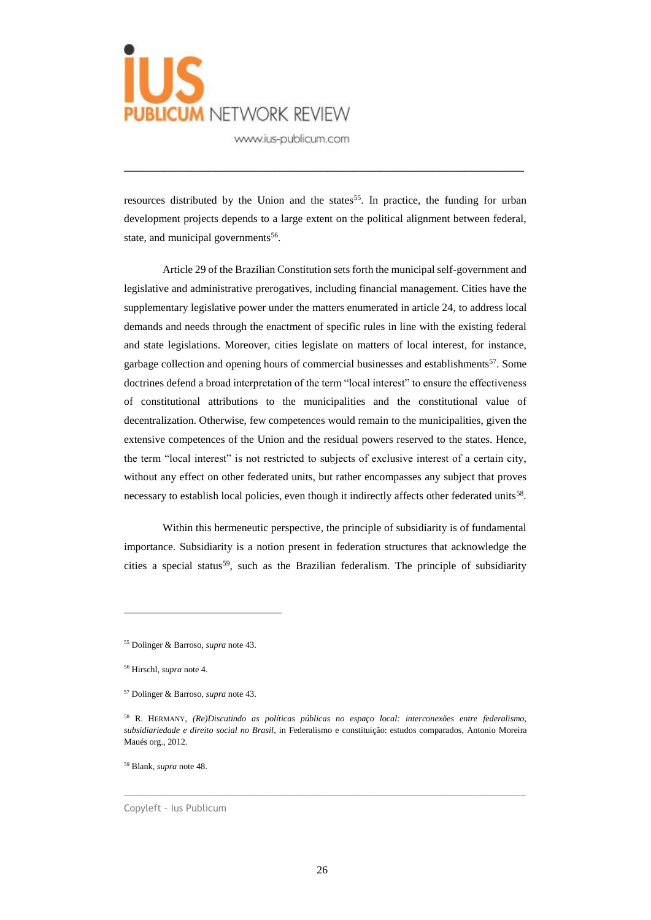

resources distributed by the Union and the states<sup>55</sup>. In practice, the funding for urban development projects depends to a large extent on the political alignment between federal, state, and municipal governments<sup>56</sup>.

\_\_\_\_\_\_\_\_\_\_\_\_\_\_\_\_\_\_\_\_\_\_\_\_\_\_\_\_\_\_\_\_\_\_\_\_\_\_\_\_\_\_\_\_\_\_\_\_\_\_\_\_\_\_\_\_\_\_\_\_\_

Article 29 of the Brazilian Constitution sets forth the municipal self-government and legislative and administrative prerogatives, including financial management. Cities have the supplementary legislative power under the matters enumerated in article 24, to address local demands and needs through the enactment of specific rules in line with the existing federal and state legislations. Moreover, cities legislate on matters of local interest, for instance, garbage collection and opening hours of commercial businesses and establishments<sup>57</sup>. Some doctrines defend a broad interpretation of the term "local interest" to ensure the effectiveness of constitutional attributions to the municipalities and the constitutional value of decentralization. Otherwise, few competences would remain to the municipalities, given the extensive competences of the Union and the residual powers reserved to the states. Hence, the term "local interest" is not restricted to subjects of exclusive interest of a certain city, without any effect on other federated units, but rather encompasses any subject that proves necessary to establish local policies, even though it indirectly affects other federated units<sup>58</sup>.

Within this hermeneutic perspective, the principle of subsidiarity is of fundamental importance. Subsidiarity is a notion present in federation structures that acknowledge the cities a special status<sup>59</sup>, such as the Brazilian federalism. The principle of subsidiarity

 $\overline{a}$ 

<sup>55</sup> Dolinger & Barroso, *supra* note 43.

<sup>56</sup> Hirschl, *supra* note 4.

<sup>57</sup> Dolinger & Barroso, *supra* note 43.

<sup>58</sup> R. HERMANY, *(Re)Discutindo as políticas públicas no espaço local: interconexões entre federalismo, subsidiariedade e direito social no Brasil*, in Federalismo e constituição: estudos comparados, Antonio Moreira Maués org., 2012.

<sup>59</sup> Blank, *supra* note 48.

Copyleft – Ius Publicum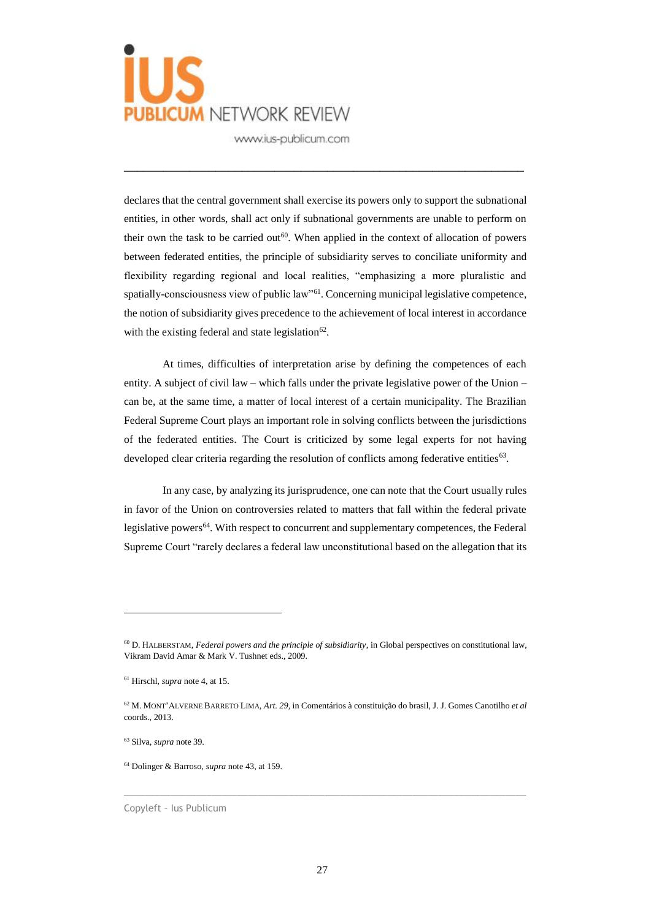

declares that the central government shall exercise its powers only to support the subnational entities, in other words, shall act only if subnational governments are unable to perform on their own the task to be carried out<sup>60</sup>. When applied in the context of allocation of powers between federated entities, the principle of subsidiarity serves to conciliate uniformity and flexibility regarding regional and local realities, "emphasizing a more pluralistic and spatially-consciousness view of public law"<sup>61</sup>. Concerning municipal legislative competence, the notion of subsidiarity gives precedence to the achievement of local interest in accordance with the existing federal and state legislation $62$ .

\_\_\_\_\_\_\_\_\_\_\_\_\_\_\_\_\_\_\_\_\_\_\_\_\_\_\_\_\_\_\_\_\_\_\_\_\_\_\_\_\_\_\_\_\_\_\_\_\_\_\_\_\_\_\_\_\_\_\_\_\_

At times, difficulties of interpretation arise by defining the competences of each entity. A subject of civil law – which falls under the private legislative power of the Union – can be, at the same time, a matter of local interest of a certain municipality. The Brazilian Federal Supreme Court plays an important role in solving conflicts between the jurisdictions of the federated entities. The Court is criticized by some legal experts for not having developed clear criteria regarding the resolution of conflicts among federative entities<sup>63</sup>.

In any case, by analyzing its jurisprudence, one can note that the Court usually rules in favor of the Union on controversies related to matters that fall within the federal private legislative powers<sup>64</sup>. With respect to concurrent and supplementary competences, the Federal Supreme Court "rarely declares a federal law unconstitutional based on the allegation that its

 $\overline{a}$ 

<sup>60</sup> D. HALBERSTAM, *Federal powers and the principle of subsidiarity*, in Global perspectives on constitutional law, Vikram David Amar & Mark V. Tushnet eds., 2009.

<sup>61</sup> Hirschl, *supra* note 4, at 15.

<sup>62</sup> M. MONT'ALVERNE BARRETO LIMA, *Art. 29*, in Comentários à constituição do brasil, J. J. Gomes Canotilho *et al* coords., 2013.

<sup>63</sup> Silva, *supra* note 39.

<sup>64</sup> Dolinger & Barroso, *supra* note 43, at 159.

Copyleft – Ius Publicum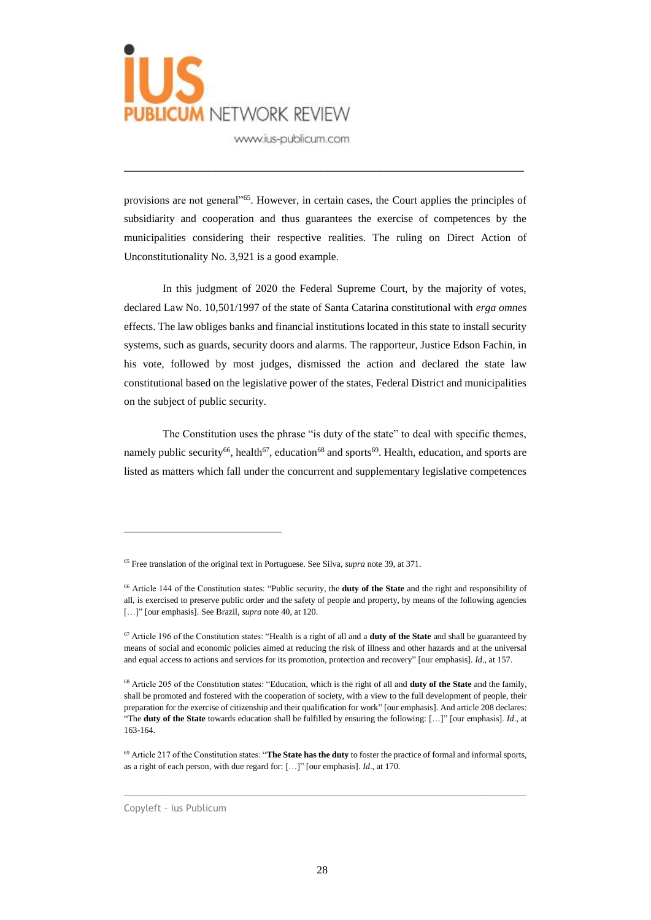

provisions are not general<sup>"65</sup>. However, in certain cases, the Court applies the principles of subsidiarity and cooperation and thus guarantees the exercise of competences by the municipalities considering their respective realities. The ruling on Direct Action of Unconstitutionality No. 3,921 is a good example.

\_\_\_\_\_\_\_\_\_\_\_\_\_\_\_\_\_\_\_\_\_\_\_\_\_\_\_\_\_\_\_\_\_\_\_\_\_\_\_\_\_\_\_\_\_\_\_\_\_\_\_\_\_\_\_\_\_\_\_\_\_

In this judgment of 2020 the Federal Supreme Court, by the majority of votes, declared Law No. 10,501/1997 of the state of Santa Catarina constitutional with *erga omnes* effects. The law obliges banks and financial institutions located in this state to install security systems, such as guards, security doors and alarms. The rapporteur, Justice Edson Fachin, in his vote, followed by most judges, dismissed the action and declared the state law constitutional based on the legislative power of the states, Federal District and municipalities on the subject of public security.

The Constitution uses the phrase "is duty of the state" to deal with specific themes, namely public security<sup>66</sup>, health<sup>67</sup>, education<sup>68</sup> and sports<sup>69</sup>. Health, education, and sports are listed as matters which fall under the concurrent and supplementary legislative competences

 $\_$  , and the set of the set of the set of the set of the set of the set of the set of the set of the set of the set of the set of the set of the set of the set of the set of the set of the set of the set of the set of th

Copyleft – Ius Publicum

<sup>65</sup> Free translation of the original text in Portuguese. See Silva, *supra* note 39, at 371.

<sup>66</sup> Article 144 of the Constitution states: "Public security, the **duty of the State** and the right and responsibility of all, is exercised to preserve public order and the safety of people and property, by means of the following agencies […]" [our emphasis]. See Brazil, *supra* note 40, at 120.

<sup>67</sup> Article 196 of the Constitution states: "Health is a right of all and a **duty of the State** and shall be guaranteed by means of social and economic policies aimed at reducing the risk of illness and other hazards and at the universal and equal access to actions and services for its promotion, protection and recovery" [our emphasis]. *Id*., at 157.

<sup>68</sup> Article 205 of the Constitution states: "Education, which is the right of all and **duty of the State** and the family, shall be promoted and fostered with the cooperation of society, with a view to the full development of people, their preparation for the exercise of citizenship and their qualification for work" [our emphasis]. And article 208 declares: "The **duty of the State** towards education shall be fulfilled by ensuring the following: […]" [our emphasis]. *Id*., at 163-164.

<sup>69</sup> Article 217 of the Constitution states: "**The State has the duty** to foster the practice of formal and informal sports, as a right of each person, with due regard for: […]" [our emphasis]. *Id*., at 170.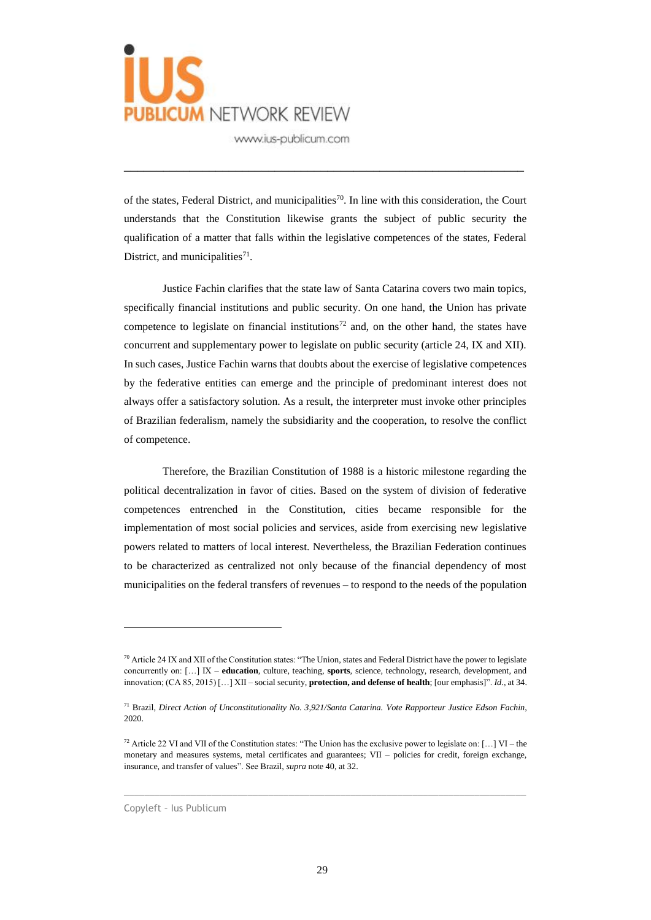

of the states, Federal District, and municipalities<sup>70</sup>. In line with this consideration, the Court understands that the Constitution likewise grants the subject of public security the qualification of a matter that falls within the legislative competences of the states, Federal District, and municipalities<sup>71</sup>.

\_\_\_\_\_\_\_\_\_\_\_\_\_\_\_\_\_\_\_\_\_\_\_\_\_\_\_\_\_\_\_\_\_\_\_\_\_\_\_\_\_\_\_\_\_\_\_\_\_\_\_\_\_\_\_\_\_\_\_\_\_

Justice Fachin clarifies that the state law of Santa Catarina covers two main topics, specifically financial institutions and public security. On one hand, the Union has private competence to legislate on financial institutions<sup>72</sup> and, on the other hand, the states have concurrent and supplementary power to legislate on public security (article 24, IX and XII). In such cases, Justice Fachin warns that doubts about the exercise of legislative competences by the federative entities can emerge and the principle of predominant interest does not always offer a satisfactory solution. As a result, the interpreter must invoke other principles of Brazilian federalism, namely the subsidiarity and the cooperation, to resolve the conflict of competence.

Therefore, the Brazilian Constitution of 1988 is a historic milestone regarding the political decentralization in favor of cities. Based on the system of division of federative competences entrenched in the Constitution, cities became responsible for the implementation of most social policies and services, aside from exercising new legislative powers related to matters of local interest. Nevertheless, the Brazilian Federation continues to be characterized as centralized not only because of the financial dependency of most municipalities on the federal transfers of revenues – to respond to the needs of the population

 $\_$  , and the set of the set of the set of the set of the set of the set of the set of the set of the set of the set of the set of the set of the set of the set of the set of the set of the set of the set of the set of th

 $70$  Article 24 IX and XII of the Constitution states: "The Union, states and Federal District have the power to legislate concurrently on: […] IX – **education**, culture, teaching, **sports**, science, technology, research, development, and innovation; (CA 85, 2015) […] XII – social security, **protection, and defense of health**; [our emphasis]". *Id*., at 34.

<sup>71</sup> Brazil, *Direct Action of Unconstitutionality No. 3,921/Santa Catarina. Vote Rapporteur Justice Edson Fachin*, 2020.

<sup>&</sup>lt;sup>72</sup> Article 22 VI and VII of the Constitution states: "The Union has the exclusive power to legislate on:  $[...]$  VI – the monetary and measures systems, metal certificates and guarantees; VII – policies for credit, foreign exchange, insurance, and transfer of values". See Brazil, *supra* note 40, at 32.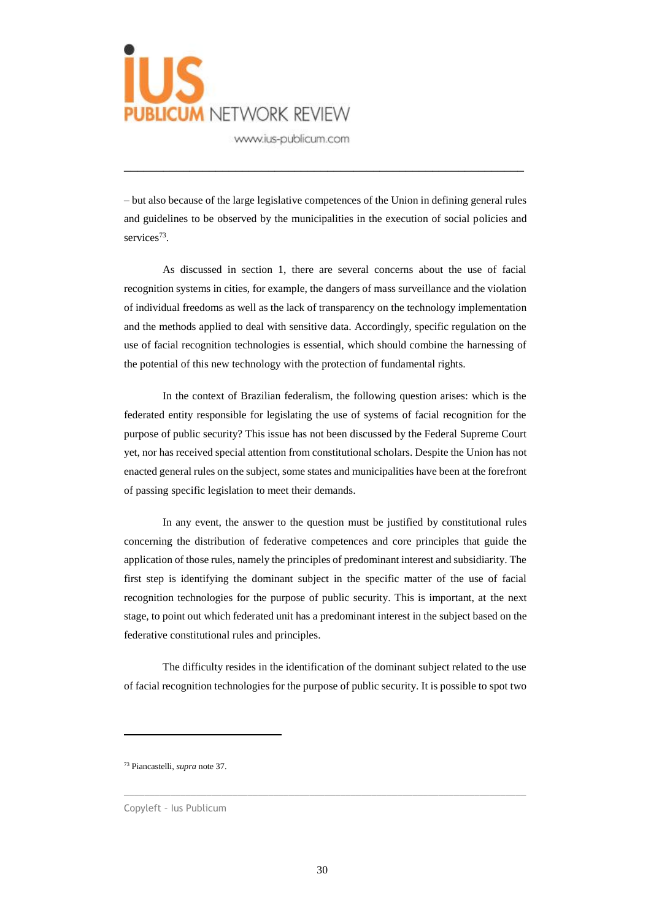

– but also because of the large legislative competences of the Union in defining general rules and guidelines to be observed by the municipalities in the execution of social policies and services<sup>73</sup>.

\_\_\_\_\_\_\_\_\_\_\_\_\_\_\_\_\_\_\_\_\_\_\_\_\_\_\_\_\_\_\_\_\_\_\_\_\_\_\_\_\_\_\_\_\_\_\_\_\_\_\_\_\_\_\_\_\_\_\_\_\_

As discussed in section 1, there are several concerns about the use of facial recognition systems in cities, for example, the dangers of mass surveillance and the violation of individual freedoms as well as the lack of transparency on the technology implementation and the methods applied to deal with sensitive data. Accordingly, specific regulation on the use of facial recognition technologies is essential, which should combine the harnessing of the potential of this new technology with the protection of fundamental rights.

In the context of Brazilian federalism, the following question arises: which is the federated entity responsible for legislating the use of systems of facial recognition for the purpose of public security? This issue has not been discussed by the Federal Supreme Court yet, nor has received special attention from constitutional scholars. Despite the Union has not enacted general rules on the subject, some states and municipalities have been at the forefront of passing specific legislation to meet their demands.

In any event, the answer to the question must be justified by constitutional rules concerning the distribution of federative competences and core principles that guide the application of those rules, namely the principles of predominant interest and subsidiarity. The first step is identifying the dominant subject in the specific matter of the use of facial recognition technologies for the purpose of public security. This is important, at the next stage, to point out which federated unit has a predominant interest in the subject based on the federative constitutional rules and principles.

The difficulty resides in the identification of the dominant subject related to the use of facial recognition technologies for the purpose of public security. It is possible to spot two

 $\overline{a}$ 

<sup>73</sup> Piancastelli, *supra* note 37.

Copyleft – Ius Publicum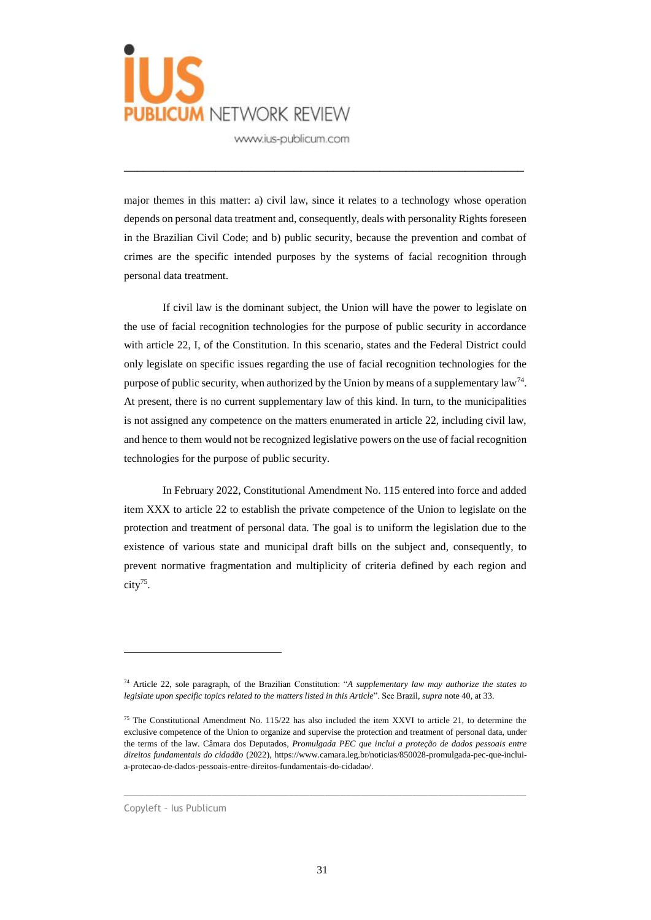

major themes in this matter: a) civil law, since it relates to a technology whose operation depends on personal data treatment and, consequently, deals with personality Rights foreseen in the Brazilian Civil Code; and b) public security, because the prevention and combat of crimes are the specific intended purposes by the systems of facial recognition through personal data treatment.

\_\_\_\_\_\_\_\_\_\_\_\_\_\_\_\_\_\_\_\_\_\_\_\_\_\_\_\_\_\_\_\_\_\_\_\_\_\_\_\_\_\_\_\_\_\_\_\_\_\_\_\_\_\_\_\_\_\_\_\_\_

If civil law is the dominant subject, the Union will have the power to legislate on the use of facial recognition technologies for the purpose of public security in accordance with article 22, I, of the Constitution. In this scenario, states and the Federal District could only legislate on specific issues regarding the use of facial recognition technologies for the purpose of public security, when authorized by the Union by means of a supplementary law<sup>74</sup>. At present, there is no current supplementary law of this kind. In turn, to the municipalities is not assigned any competence on the matters enumerated in article 22, including civil law, and hence to them would not be recognized legislative powers on the use of facial recognition technologies for the purpose of public security.

In February 2022, Constitutional Amendment No. 115 entered into force and added item XXX to article 22 to establish the private competence of the Union to legislate on the protection and treatment of personal data. The goal is to uniform the legislation due to the existence of various state and municipal draft bills on the subject and, consequently, to prevent normative fragmentation and multiplicity of criteria defined by each region and city<sup>75</sup> .

 $\_$  , and the set of the set of the set of the set of the set of the set of the set of the set of the set of the set of the set of the set of the set of the set of the set of the set of the set of the set of the set of th

<sup>74</sup> Article 22, sole paragraph, of the Brazilian Constitution: "*A supplementary law may authorize the states to legislate upon specific topics related to the matters listed in this Article*". See Brazil, *supra* note 40, at 33.

<sup>&</sup>lt;sup>75</sup> The Constitutional Amendment No. 115/22 has also included the item XXVI to article 21, to determine the exclusive competence of the Union to organize and supervise the protection and treatment of personal data, under the terms of the law. Câmara dos Deputados, *Promulgada PEC que inclui a proteção de dados pessoais entre direitos fundamentais do cidadão* (2022), https://www.camara.leg.br/noticias/850028-promulgada-pec-que-incluia-protecao-de-dados-pessoais-entre-direitos-fundamentais-do-cidadao/.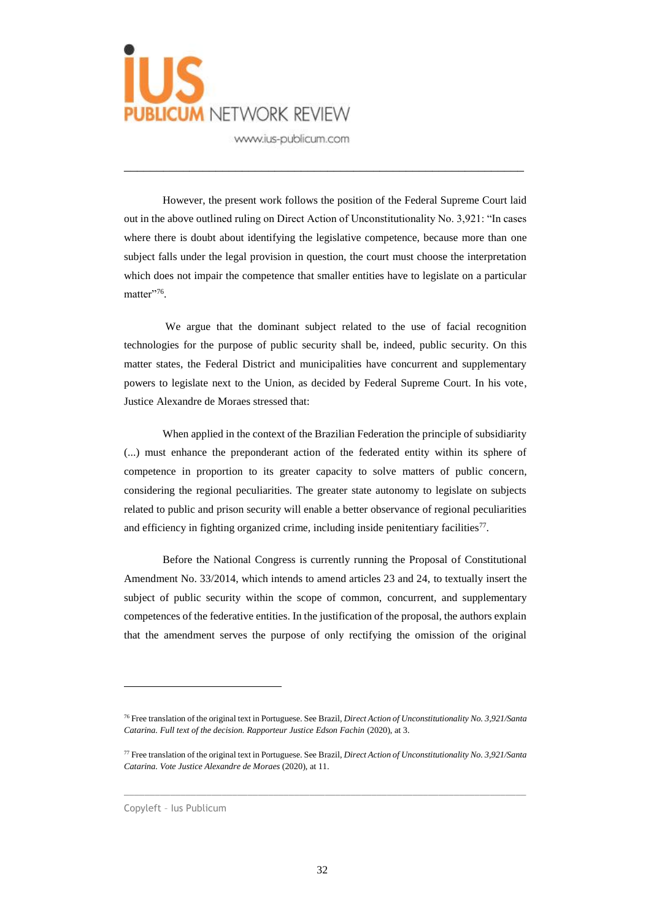

However, the present work follows the position of the Federal Supreme Court laid out in the above outlined ruling on Direct Action of Unconstitutionality No. 3,921: "In cases where there is doubt about identifying the legislative competence, because more than one subject falls under the legal provision in question, the court must choose the interpretation which does not impair the competence that smaller entities have to legislate on a particular matter"<sup>76</sup>.

\_\_\_\_\_\_\_\_\_\_\_\_\_\_\_\_\_\_\_\_\_\_\_\_\_\_\_\_\_\_\_\_\_\_\_\_\_\_\_\_\_\_\_\_\_\_\_\_\_\_\_\_\_\_\_\_\_\_\_\_\_

We argue that the dominant subject related to the use of facial recognition technologies for the purpose of public security shall be, indeed, public security. On this matter states, the Federal District and municipalities have concurrent and supplementary powers to legislate next to the Union, as decided by Federal Supreme Court. In his vote, Justice Alexandre de Moraes stressed that:

When applied in the context of the Brazilian Federation the principle of subsidiarity (...) must enhance the preponderant action of the federated entity within its sphere of competence in proportion to its greater capacity to solve matters of public concern, considering the regional peculiarities. The greater state autonomy to legislate on subjects related to public and prison security will enable a better observance of regional peculiarities and efficiency in fighting organized crime, including inside penitentiary facilities $77$ .

Before the National Congress is currently running the Proposal of Constitutional Amendment No. 33/2014, which intends to amend articles 23 and 24, to textually insert the subject of public security within the scope of common, concurrent, and supplementary competences of the federative entities. In the justification of the proposal, the authors explain that the amendment serves the purpose of only rectifying the omission of the original

 $\_$  , and the set of the set of the set of the set of the set of the set of the set of the set of the set of the set of the set of the set of the set of the set of the set of the set of the set of the set of the set of th

<sup>76</sup> Free translation of the original text in Portuguese. See Brazil, *Direct Action of Unconstitutionality No. 3,921/Santa Catarina. Full text of the decision. Rapporteur Justice Edson Fachin* (2020), at 3.

<sup>77</sup> Free translation of the original text in Portuguese. See Brazil, *Direct Action of Unconstitutionality No. 3,921/Santa Catarina. Vote Justice Alexandre de Moraes* (2020), at 11.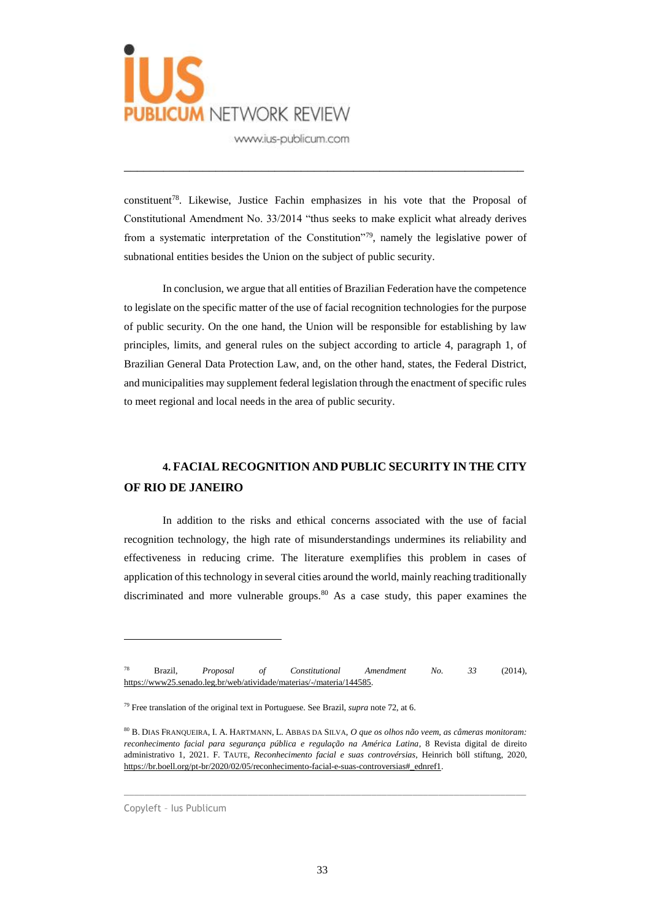

constituent<sup>78</sup>. Likewise, Justice Fachin emphasizes in his vote that the Proposal of Constitutional Amendment No. 33/2014 "thus seeks to make explicit what already derives from a systematic interpretation of the Constitution"<sup>79</sup>, namely the legislative power of subnational entities besides the Union on the subject of public security.

\_\_\_\_\_\_\_\_\_\_\_\_\_\_\_\_\_\_\_\_\_\_\_\_\_\_\_\_\_\_\_\_\_\_\_\_\_\_\_\_\_\_\_\_\_\_\_\_\_\_\_\_\_\_\_\_\_\_\_\_\_

In conclusion, we argue that all entities of Brazilian Federation have the competence to legislate on the specific matter of the use of facial recognition technologies for the purpose of public security. On the one hand, the Union will be responsible for establishing by law principles, limits, and general rules on the subject according to article 4, paragraph 1, of Brazilian General Data Protection Law, and, on the other hand, states, the Federal District, and municipalities may supplement federal legislation through the enactment of specific rules to meet regional and local needs in the area of public security.

### **4. FACIAL RECOGNITION AND PUBLIC SECURITY IN THE CITY OF RIO DE JANEIRO**

In addition to the risks and ethical concerns associated with the use of facial recognition technology, the high rate of misunderstandings undermines its reliability and effectiveness in reducing crime. The literature exemplifies this problem in cases of application of this technology in several cities around the world, mainly reaching traditionally discriminated and more vulnerable groups.<sup>80</sup> As a case study, this paper examines the

 $\_$  , and the set of the set of the set of the set of the set of the set of the set of the set of the set of the set of the set of the set of the set of the set of the set of the set of the set of the set of the set of th

<sup>78</sup> Brazil, *Proposal of Constitutional Amendment No. 33* (2014), [https://www25.senado.leg.br/web/atividade/materias/-/materia/144585.](about:blank)

<sup>79</sup> Free translation of the original text in Portuguese. See Brazil, *supra* note 72, at 6.

<sup>80</sup> B. DIAS FRANQUEIRA, I. A. HARTMANN, L. ABBAS DA SILVA, *O que os olhos não veem, as câmeras monitoram: reconhecimento facial para segurança pública e regulação na América Latina*, 8 Revista digital de direito administrativo 1, 2021. F. TAUTE, *Reconhecimento facial e suas controvérsias*, Heinrich böll stiftung, 2020, [https://br.boell.org/pt-br/2020/02/05/reconhecimento-facial-e-suas-controversias#\\_ednref1.](about:blank)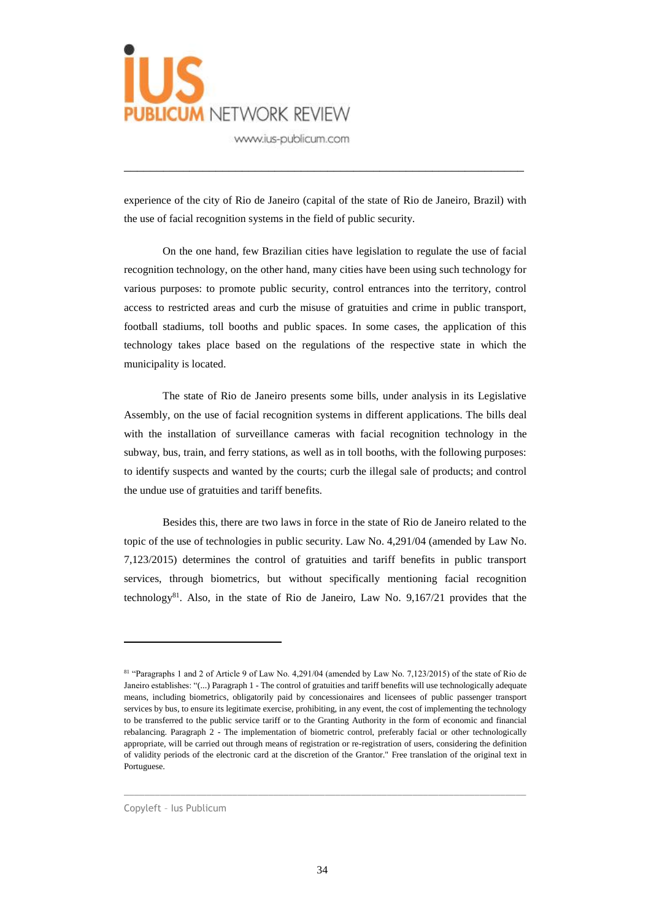

experience of the city of Rio de Janeiro (capital of the state of Rio de Janeiro, Brazil) with the use of facial recognition systems in the field of public security.

\_\_\_\_\_\_\_\_\_\_\_\_\_\_\_\_\_\_\_\_\_\_\_\_\_\_\_\_\_\_\_\_\_\_\_\_\_\_\_\_\_\_\_\_\_\_\_\_\_\_\_\_\_\_\_\_\_\_\_\_\_

On the one hand, few Brazilian cities have legislation to regulate the use of facial recognition technology, on the other hand, many cities have been using such technology for various purposes: to promote public security, control entrances into the territory, control access to restricted areas and curb the misuse of gratuities and crime in public transport, football stadiums, toll booths and public spaces. In some cases, the application of this technology takes place based on the regulations of the respective state in which the municipality is located.

The state of Rio de Janeiro presents some bills, under analysis in its Legislative Assembly, on the use of facial recognition systems in different applications. The bills deal with the installation of surveillance cameras with facial recognition technology in the subway, bus, train, and ferry stations, as well as in toll booths, with the following purposes: to identify suspects and wanted by the courts; curb the illegal sale of products; and control the undue use of gratuities and tariff benefits.

Besides this, there are two laws in force in the state of Rio de Janeiro related to the topic of the use of technologies in public security. Law No. 4,291/04 (amended by Law No. 7,123/2015) determines the control of gratuities and tariff benefits in public transport services, through biometrics, but without specifically mentioning facial recognition technology $81$ . Also, in the state of Rio de Janeiro, Law No. 9,167/21 provides that the

 $\_$  , and the set of the set of the set of the set of the set of the set of the set of the set of the set of the set of the set of the set of the set of the set of the set of the set of the set of the set of the set of th

<sup>81 &</sup>quot;Paragraphs 1 and 2 of Article 9 of Law No. 4,291/04 (amended by Law No. 7,123/2015) of the state of Rio de Janeiro establishes: "(...) Paragraph 1 - The control of gratuities and tariff benefits will use technologically adequate means, including biometrics, obligatorily paid by concessionaires and licensees of public passenger transport services by bus, to ensure its legitimate exercise, prohibiting, in any event, the cost of implementing the technology to be transferred to the public service tariff or to the Granting Authority in the form of economic and financial rebalancing. Paragraph 2 - The implementation of biometric control, preferably facial or other technologically appropriate, will be carried out through means of registration or re-registration of users, considering the definition of validity periods of the electronic card at the discretion of the Grantor." Free translation of the original text in Portuguese.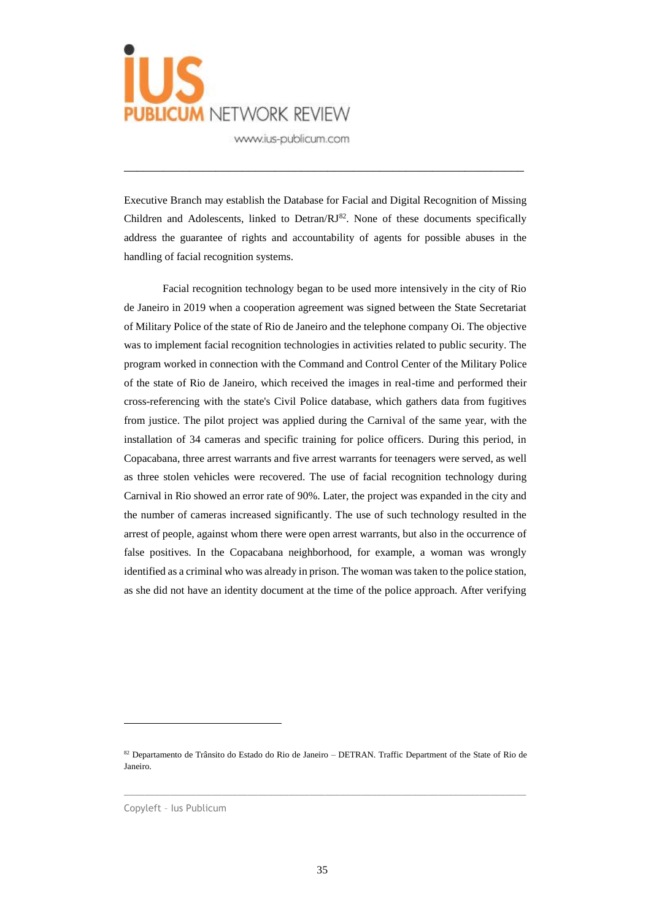

Executive Branch may establish the Database for Facial and Digital Recognition of Missing Children and Adolescents, linked to Detran/ $RI^{82}$ . None of these documents specifically address the guarantee of rights and accountability of agents for possible abuses in the handling of facial recognition systems.

\_\_\_\_\_\_\_\_\_\_\_\_\_\_\_\_\_\_\_\_\_\_\_\_\_\_\_\_\_\_\_\_\_\_\_\_\_\_\_\_\_\_\_\_\_\_\_\_\_\_\_\_\_\_\_\_\_\_\_\_\_

Facial recognition technology began to be used more intensively in the city of Rio de Janeiro in 2019 when a cooperation agreement was signed between the State Secretariat of Military Police of the state of Rio de Janeiro and the telephone company Oi. The objective was to implement facial recognition technologies in activities related to public security. The program worked in connection with the Command and Control Center of the Military Police of the state of Rio de Janeiro, which received the images in real-time and performed their cross-referencing with the state's Civil Police database, which gathers data from fugitives from justice. The pilot project was applied during the Carnival of the same year, with the installation of 34 cameras and specific training for police officers. During this period, in Copacabana, three arrest warrants and five arrest warrants for teenagers were served, as well as three stolen vehicles were recovered. The use of facial recognition technology during Carnival in Rio showed an error rate of 90%. Later, the project was expanded in the city and the number of cameras increased significantly. The use of such technology resulted in the arrest of people, against whom there were open arrest warrants, but also in the occurrence of false positives. In the Copacabana neighborhood, for example, a woman was wrongly identified as a criminal who was already in prison. The woman was taken to the police station, as she did not have an identity document at the time of the police approach. After verifying

 $\_$  , and the set of the set of the set of the set of the set of the set of the set of the set of the set of the set of the set of the set of the set of the set of the set of the set of the set of the set of the set of th

Copyleft – Ius Publicum

<sup>82</sup> Departamento de Trânsito do Estado do Rio de Janeiro – DETRAN. Traffic Department of the State of Rio de Janeiro.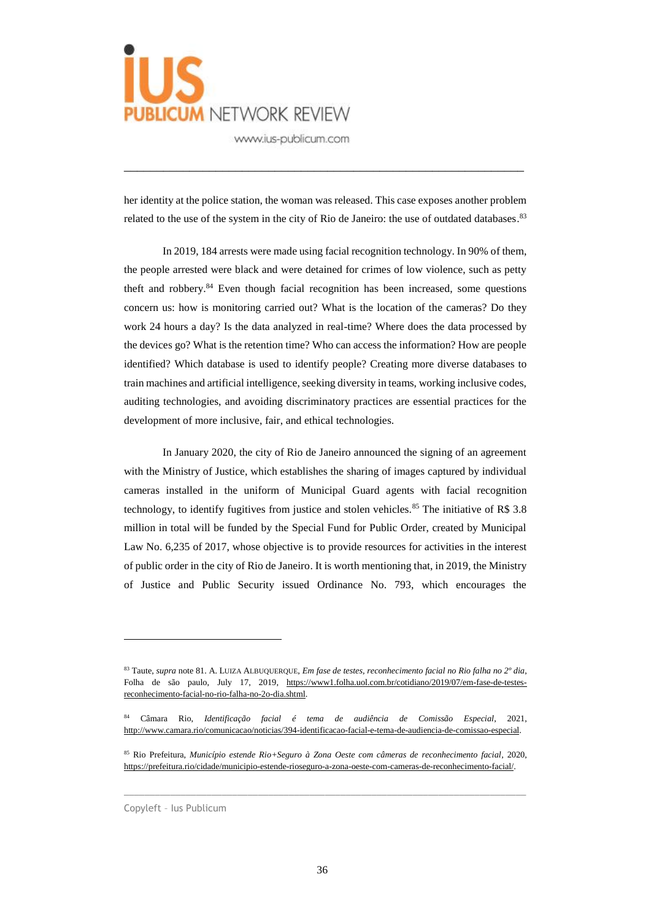

her identity at the police station, the woman was released. This case exposes another problem related to the use of the system in the city of Rio de Janeiro: the use of outdated databases.<sup>83</sup>

\_\_\_\_\_\_\_\_\_\_\_\_\_\_\_\_\_\_\_\_\_\_\_\_\_\_\_\_\_\_\_\_\_\_\_\_\_\_\_\_\_\_\_\_\_\_\_\_\_\_\_\_\_\_\_\_\_\_\_\_\_

In 2019, 184 arrests were made using facial recognition technology. In 90% of them, the people arrested were black and were detained for crimes of low violence, such as petty theft and robbery. $84$  Even though facial recognition has been increased, some questions concern us: how is monitoring carried out? What is the location of the cameras? Do they work 24 hours a day? Is the data analyzed in real-time? Where does the data processed by the devices go? What is the retention time? Who can access the information? How are people identified? Which database is used to identify people? Creating more diverse databases to train machines and artificial intelligence, seeking diversity in teams, working inclusive codes, auditing technologies, and avoiding discriminatory practices are essential practices for the development of more inclusive, fair, and ethical technologies.

In January 2020, the city of Rio de Janeiro announced the signing of an agreement with the Ministry of Justice, which establishes the sharing of images captured by individual cameras installed in the uniform of Municipal Guard agents with facial recognition technology, to identify fugitives from justice and stolen vehicles.<sup>85</sup> The initiative of R\$ 3.8 million in total will be funded by the Special Fund for Public Order, created by Municipal Law No. 6,235 of 2017, whose objective is to provide resources for activities in the interest of public order in the city of Rio de Janeiro. It is worth mentioning that, in 2019, the Ministry of Justice and Public Security issued Ordinance No. 793, which encourages the

 $\_$  , and the set of the set of the set of the set of the set of the set of the set of the set of the set of the set of the set of the set of the set of the set of the set of the set of the set of the set of the set of th

Copyleft – Ius Publicum

<sup>83</sup> Taute, *supra* note 81. A. LUIZA ALBUQUERQUE, *Em fase de testes, reconhecimento facial no Rio falha no 2º dia*, Folha de são paulo, July 17, 2019, [https://www1.folha.uol.com.br/cotidiano/2019/07/em-fase-de-testes](about:blank)[reconhecimento-facial-no-rio-falha-no-2o-dia.shtml.](about:blank)

<sup>84</sup> Câmara Rio, *Identificação facial é tema de audiência de Comissão Especial*, 2021, [http://www.camara.rio/comunicacao/noticias/394-identificacao-facial-e-tema-de-audiencia-de-comissao-especial.](about:blank)

<sup>85</sup> Rio Prefeitura, *Município estende Rio+Seguro à Zona Oeste com câmeras de reconhecimento facial*, 2020, [https://prefeitura.rio/cidade/municipio-estende-rioseguro-a-zona-oeste-com-cameras-de-reconhecimento-facial/.](about:blank)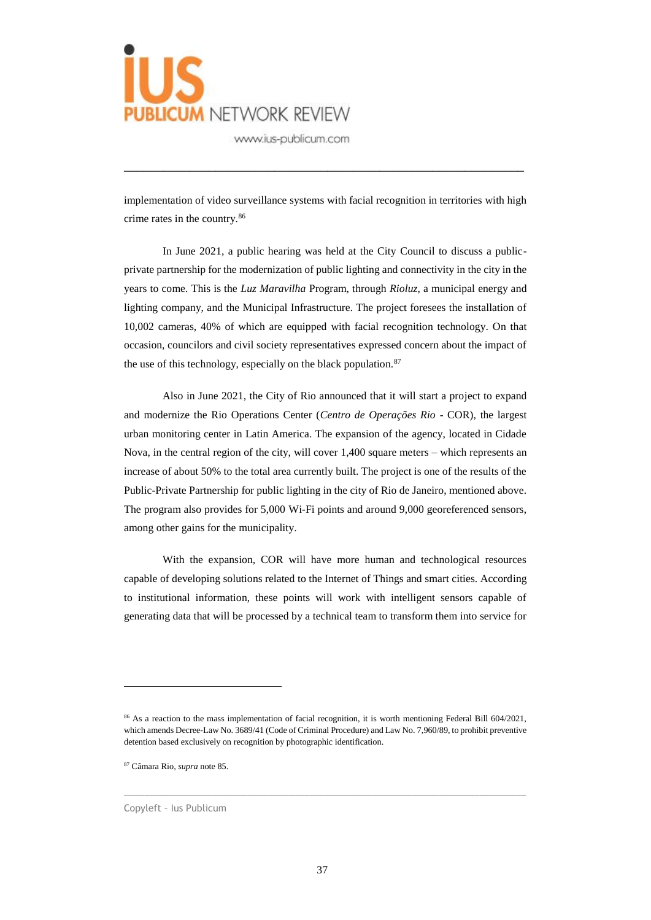

implementation of video surveillance systems with facial recognition in territories with high crime rates in the country.<sup>86</sup>

\_\_\_\_\_\_\_\_\_\_\_\_\_\_\_\_\_\_\_\_\_\_\_\_\_\_\_\_\_\_\_\_\_\_\_\_\_\_\_\_\_\_\_\_\_\_\_\_\_\_\_\_\_\_\_\_\_\_\_\_\_

In June 2021, a public hearing was held at the City Council to discuss a publicprivate partnership for the modernization of public lighting and connectivity in the city in the years to come. This is the *Luz Maravilha* Program, through *Rioluz*, a municipal energy and lighting company, and the Municipal Infrastructure. The project foresees the installation of 10,002 cameras, 40% of which are equipped with facial recognition technology. On that occasion, councilors and civil society representatives expressed concern about the impact of the use of this technology, especially on the black population. $87$ 

Also in June 2021, the City of Rio announced that it will start a project to expand and modernize the Rio Operations Center (*Centro de Operações Rio* - COR), the largest urban monitoring center in Latin America. The expansion of the agency, located in Cidade Nova, in the central region of the city, will cover 1,400 square meters – which represents an increase of about 50% to the total area currently built. The project is one of the results of the Public-Private Partnership for public lighting in the city of Rio de Janeiro, mentioned above. The program also provides for 5,000 Wi-Fi points and around 9,000 georeferenced sensors, among other gains for the municipality.

With the expansion, COR will have more human and technological resources capable of developing solutions related to the Internet of Things and smart cities. According to institutional information, these points will work with intelligent sensors capable of generating data that will be processed by a technical team to transform them into service for

 $\_$  , and the set of the set of the set of the set of the set of the set of the set of the set of the set of the set of the set of the set of the set of the set of the set of the set of the set of the set of the set of th

<sup>&</sup>lt;sup>86</sup> As a reaction to the mass implementation of facial recognition, it is worth mentioning Federal Bill 604/2021, which amends Decree-Law No. 3689/41 (Code of Criminal Procedure) and Law No. 7,960/89, to prohibit preventive detention based exclusively on recognition by photographic identification.

<sup>87</sup> Câmara Rio, *supra* note 85.

Copyleft – Ius Publicum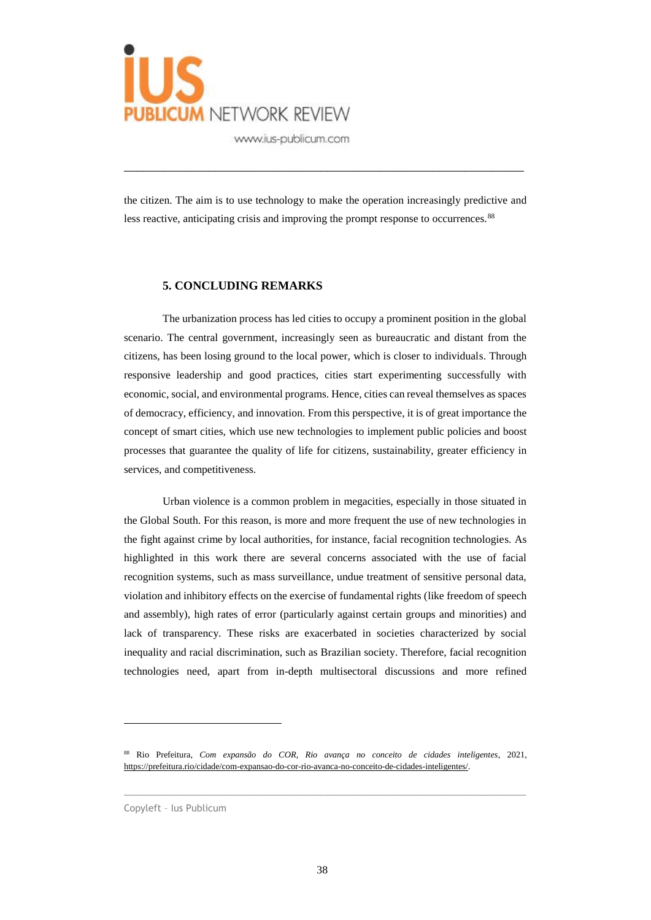

the citizen. The aim is to use technology to make the operation increasingly predictive and less reactive, anticipating crisis and improving the prompt response to occurrences.<sup>88</sup>

\_\_\_\_\_\_\_\_\_\_\_\_\_\_\_\_\_\_\_\_\_\_\_\_\_\_\_\_\_\_\_\_\_\_\_\_\_\_\_\_\_\_\_\_\_\_\_\_\_\_\_\_\_\_\_\_\_\_\_\_\_

#### **5. CONCLUDING REMARKS**

The urbanization process has led cities to occupy a prominent position in the global scenario. The central government, increasingly seen as bureaucratic and distant from the citizens, has been losing ground to the local power, which is closer to individuals. Through responsive leadership and good practices, cities start experimenting successfully with economic, social, and environmental programs. Hence, cities can reveal themselves as spaces of democracy, efficiency, and innovation. From this perspective, it is of great importance the concept of smart cities, which use new technologies to implement public policies and boost processes that guarantee the quality of life for citizens, sustainability, greater efficiency in services, and competitiveness.

Urban violence is a common problem in megacities, especially in those situated in the Global South. For this reason, is more and more frequent the use of new technologies in the fight against crime by local authorities, for instance, facial recognition technologies. As highlighted in this work there are several concerns associated with the use of facial recognition systems, such as mass surveillance, undue treatment of sensitive personal data, violation and inhibitory effects on the exercise of fundamental rights (like freedom of speech and assembly), high rates of error (particularly against certain groups and minorities) and lack of transparency. These risks are exacerbated in societies characterized by social inequality and racial discrimination, such as Brazilian society. Therefore, facial recognition technologies need, apart from in-depth multisectoral discussions and more refined

 $\_$  , and the set of the set of the set of the set of the set of the set of the set of the set of the set of the set of the set of the set of the set of the set of the set of the set of the set of the set of the set of th

<sup>88</sup> Rio Prefeitura, *Com expansão do COR, Rio avança no conceito de cidades inteligentes*, 2021, [https://prefeitura.rio/cidade/com-expansao-do-cor-rio-avanca-no-conceito-de-cidades-inteligentes/.](about:blank)

Copyleft – Ius Publicum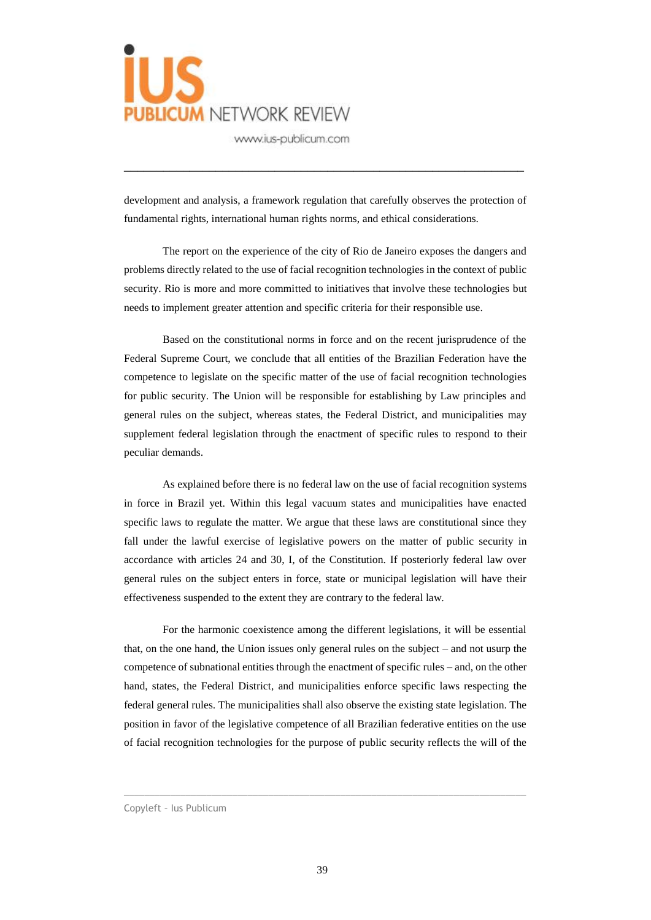

development and analysis, a framework regulation that carefully observes the protection of fundamental rights, international human rights norms, and ethical considerations.

\_\_\_\_\_\_\_\_\_\_\_\_\_\_\_\_\_\_\_\_\_\_\_\_\_\_\_\_\_\_\_\_\_\_\_\_\_\_\_\_\_\_\_\_\_\_\_\_\_\_\_\_\_\_\_\_\_\_\_\_\_

The report on the experience of the city of Rio de Janeiro exposes the dangers and problems directly related to the use of facial recognition technologies in the context of public security. Rio is more and more committed to initiatives that involve these technologies but needs to implement greater attention and specific criteria for their responsible use.

Based on the constitutional norms in force and on the recent jurisprudence of the Federal Supreme Court, we conclude that all entities of the Brazilian Federation have the competence to legislate on the specific matter of the use of facial recognition technologies for public security. The Union will be responsible for establishing by Law principles and general rules on the subject, whereas states, the Federal District, and municipalities may supplement federal legislation through the enactment of specific rules to respond to their peculiar demands.

As explained before there is no federal law on the use of facial recognition systems in force in Brazil yet. Within this legal vacuum states and municipalities have enacted specific laws to regulate the matter. We argue that these laws are constitutional since they fall under the lawful exercise of legislative powers on the matter of public security in accordance with articles 24 and 30, I, of the Constitution. If posteriorly federal law over general rules on the subject enters in force, state or municipal legislation will have their effectiveness suspended to the extent they are contrary to the federal law.

For the harmonic coexistence among the different legislations, it will be essential that, on the one hand, the Union issues only general rules on the subject – and not usurp the competence of subnational entities through the enactment of specific rules – and, on the other hand, states, the Federal District, and municipalities enforce specific laws respecting the federal general rules. The municipalities shall also observe the existing state legislation. The position in favor of the legislative competence of all Brazilian federative entities on the use of facial recognition technologies for the purpose of public security reflects the will of the